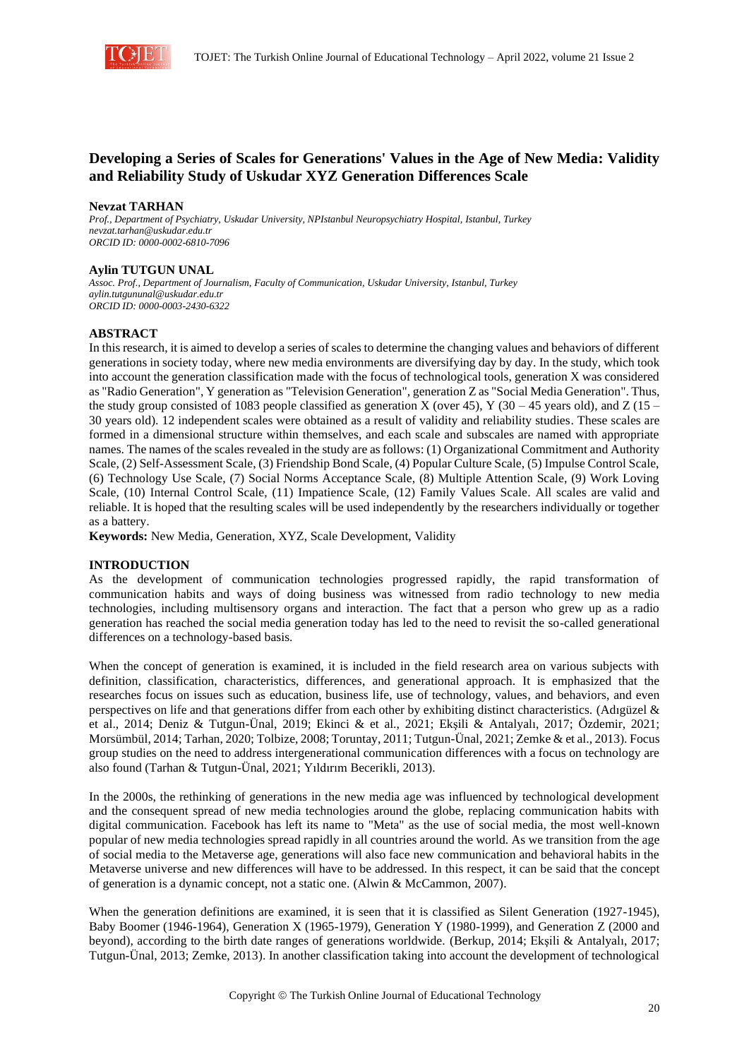

# **Developing a Series of Scales for Generations' Values in the Age of New Media: Validity and Reliability Study of Uskudar XYZ Generation Differences Scale**

#### **Nevzat TARHAN**

*Prof., Department of Psychiatry, Uskudar University, NPIstanbul Neuropsychiatry Hospital, Istanbul, Turkey nevzat.tarhan@uskudar.edu.tr ORCID ID: 0000-0002-6810-7096*

#### **Aylin TUTGUN UNAL**

*Assoc. Prof., Department of Journalism, Faculty of Communication, Uskudar University, Istanbul, Turkey aylin.tutgununal@uskudar.edu.tr ORCID ID: 0000-0003-2430-6322*

#### **ABSTRACT**

In this research, it is aimed to develop a series of scales to determine the changing values and behaviors of different generations in society today, where new media environments are diversifying day by day. In the study, which took into account the generation classification made with the focus of technological tools, generation X was considered as "Radio Generation", Y generation as "Television Generation", generation Z as "Social Media Generation". Thus, the study group consisted of 1083 people classified as generation X (over 45), Y (30 – 45 years old), and Z (15 – 30 years old). 12 independent scales were obtained as a result of validity and reliability studies. These scales are formed in a dimensional structure within themselves, and each scale and subscales are named with appropriate names. The names of the scales revealed in the study are as follows: (1) Organizational Commitment and Authority Scale, (2) Self-Assessment Scale, (3) Friendship Bond Scale, (4) Popular Culture Scale, (5) Impulse Control Scale, (6) Technology Use Scale, (7) Social Norms Acceptance Scale, (8) Multiple Attention Scale, (9) Work Loving Scale, (10) Internal Control Scale, (11) Impatience Scale, (12) Family Values Scale. All scales are valid and reliable. It is hoped that the resulting scales will be used independently by the researchers individually or together as a battery.

**Keywords:** New Media, Generation, XYZ, Scale Development, Validity

### **INTRODUCTION**

As the development of communication technologies progressed rapidly, the rapid transformation of communication habits and ways of doing business was witnessed from radio technology to new media technologies, including multisensory organs and interaction. The fact that a person who grew up as a radio generation has reached the social media generation today has led to the need to revisit the so-called generational differences on a technology-based basis.

When the concept of generation is examined, it is included in the field research area on various subjects with definition, classification, characteristics, differences, and generational approach. It is emphasized that the researches focus on issues such as education, business life, use of technology, values, and behaviors, and even perspectives on life and that generations differ from each other by exhibiting distinct characteristics. (Adıgüzel  $\&$ et al., 2014; Deniz & Tutgun-Ünal, 2019; Ekinci & et al., 2021; Ekşili & Antalyalı, 2017; Özdemir, 2021; Morsümbül, 2014; Tarhan, 2020; Tolbize, 2008; Toruntay, 2011; Tutgun-Ünal, 2021; Zemke & et al., 2013). Focus group studies on the need to address intergenerational communication differences with a focus on technology are also found (Tarhan & Tutgun-Ünal, 2021; Yıldırım Becerikli, 2013).

In the 2000s, the rethinking of generations in the new media age was influenced by technological development and the consequent spread of new media technologies around the globe, replacing communication habits with digital communication. Facebook has left its name to "Meta" as the use of social media, the most well-known popular of new media technologies spread rapidly in all countries around the world. As we transition from the age of social media to the Metaverse age, generations will also face new communication and behavioral habits in the Metaverse universe and new differences will have to be addressed. In this respect, it can be said that the concept of generation is a dynamic concept, not a static one. (Alwin & McCammon, 2007).

When the generation definitions are examined, it is seen that it is classified as Silent Generation (1927-1945), Baby Boomer (1946-1964), Generation X (1965-1979), Generation Y (1980-1999), and Generation Z (2000 and beyond), according to the birth date ranges of generations worldwide. (Berkup, 2014; Ekşili & Antalyalı, 2017; Tutgun-Ünal, 2013; Zemke, 2013). In another classification taking into account the development of technological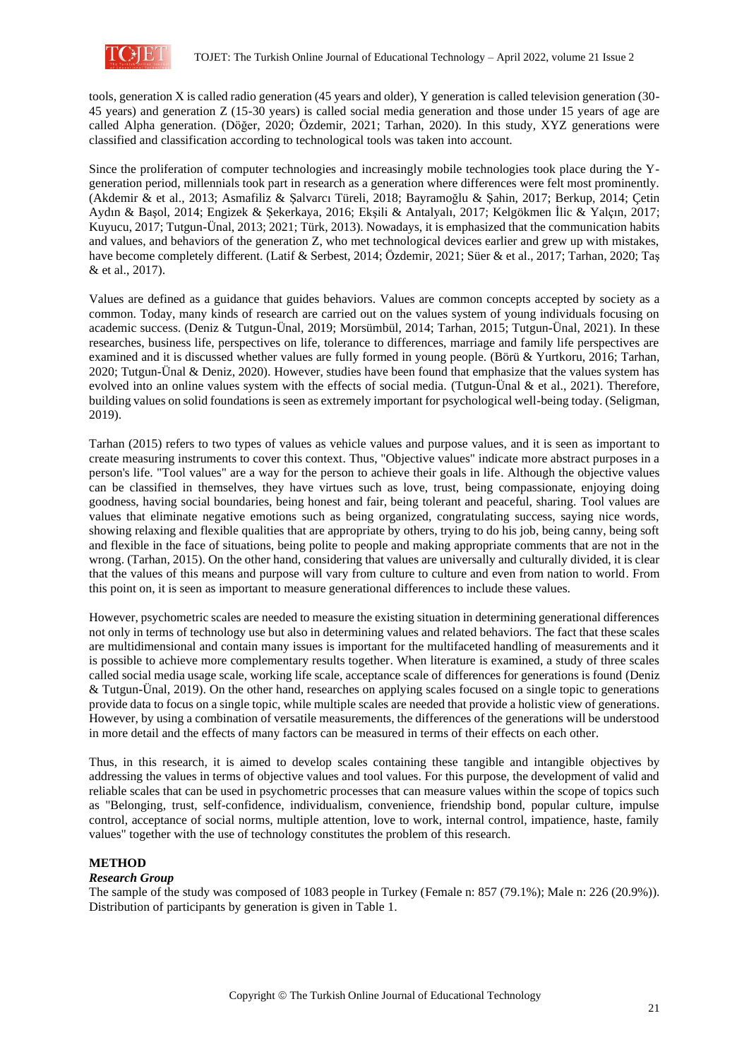

tools, generation X is called radio generation (45 years and older), Y generation is called television generation (30- 45 years) and generation Z (15-30 years) is called social media generation and those under 15 years of age are called Alpha generation. (Döğer, 2020; Özdemir, 2021; Tarhan, 2020). In this study, XYZ generations were classified and classification according to technological tools was taken into account.

Since the proliferation of computer technologies and increasingly mobile technologies took place during the Ygeneration period, millennials took part in research as a generation where differences were felt most prominently. (Akdemir & et al., 2013; Asmafiliz & Şalvarcı Türeli, 2018; Bayramoğlu & Şahin, 2017; Berkup, 2014; Çetin Aydın & Başol, 2014; Engizek & Şekerkaya, 2016; Ekşili & Antalyalı, 2017; Kelgökmen İlic & Yalçın, 2017; Kuyucu, 2017; Tutgun-Ünal, 2013; 2021; Türk, 2013). Nowadays, it is emphasized that the communication habits and values, and behaviors of the generation Z, who met technological devices earlier and grew up with mistakes, have become completely different. (Latif & Serbest, 2014; Özdemir, 2021; Süer & et al., 2017; Tarhan, 2020; Taş & et al., 2017).

Values are defined as a guidance that guides behaviors. Values are common concepts accepted by society as a common. Today, many kinds of research are carried out on the values system of young individuals focusing on academic success. (Deniz & Tutgun-Ünal, 2019; Morsümbül, 2014; Tarhan, 2015; Tutgun-Ünal, 2021). In these researches, business life, perspectives on life, tolerance to differences, marriage and family life perspectives are examined and it is discussed whether values are fully formed in young people. (Börü & Yurtkoru, 2016; Tarhan, 2020; Tutgun-Ünal & Deniz, 2020). However, studies have been found that emphasize that the values system has evolved into an online values system with the effects of social media. (Tutgun-Ünal & et al., 2021). Therefore, building values on solid foundations is seen as extremely important for psychological well-being today. (Seligman, 2019).

Tarhan (2015) refers to two types of values as vehicle values and purpose values, and it is seen as important to create measuring instruments to cover this context. Thus, "Objective values" indicate more abstract purposes in a person's life. "Tool values" are a way for the person to achieve their goals in life. Although the objective values can be classified in themselves, they have virtues such as love, trust, being compassionate, enjoying doing goodness, having social boundaries, being honest and fair, being tolerant and peaceful, sharing. Tool values are values that eliminate negative emotions such as being organized, congratulating success, saying nice words, showing relaxing and flexible qualities that are appropriate by others, trying to do his job, being canny, being soft and flexible in the face of situations, being polite to people and making appropriate comments that are not in the wrong. (Tarhan, 2015). On the other hand, considering that values are universally and culturally divided, it is clear that the values of this means and purpose will vary from culture to culture and even from nation to world. From this point on, it is seen as important to measure generational differences to include these values.

However, psychometric scales are needed to measure the existing situation in determining generational differences not only in terms of technology use but also in determining values and related behaviors. The fact that these scales are multidimensional and contain many issues is important for the multifaceted handling of measurements and it is possible to achieve more complementary results together. When literature is examined, a study of three scales called social media usage scale, working life scale, acceptance scale of differences for generations is found (Deniz & Tutgun-Ünal, 2019). On the other hand, researches on applying scales focused on a single topic to generations provide data to focus on a single topic, while multiple scales are needed that provide a holistic view of generations. However, by using a combination of versatile measurements, the differences of the generations will be understood in more detail and the effects of many factors can be measured in terms of their effects on each other.

Thus, in this research, it is aimed to develop scales containing these tangible and intangible objectives by addressing the values in terms of objective values and tool values. For this purpose, the development of valid and reliable scales that can be used in psychometric processes that can measure values within the scope of topics such as "Belonging, trust, self-confidence, individualism, convenience, friendship bond, popular culture, impulse control, acceptance of social norms, multiple attention, love to work, internal control, impatience, haste, family values" together with the use of technology constitutes the problem of this research.

### **METHOD**

#### *Research Group*

The sample of the study was composed of 1083 people in Turkey (Female n: 857 (79.1%); Male n: 226 (20.9%)). Distribution of participants by generation is given in Table 1.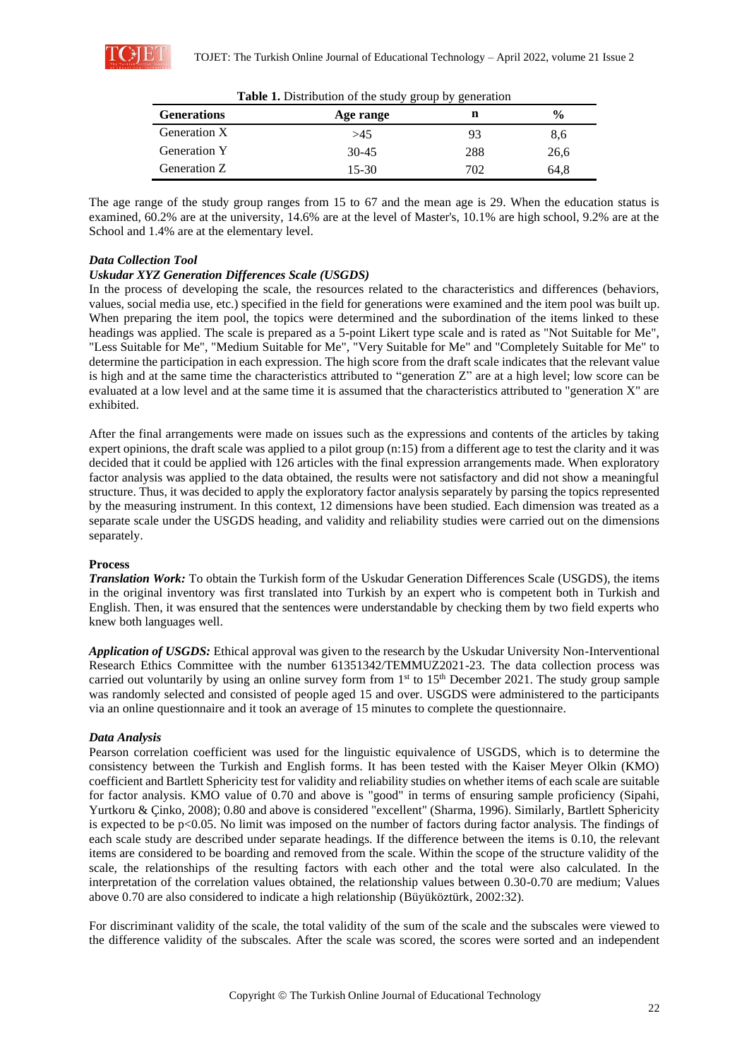

| <b>Generations</b> | Age range | n   | $\frac{0}{0}$ |
|--------------------|-----------|-----|---------------|
| Generation X       | >45       | 93  | 8,6           |
| Generation Y       | $30 - 45$ | 288 | 26,6          |
| Generation Z       | $15-30$   | 702 | 64,8          |

**Table 1.** Distribution of the study group by generation

The age range of the study group ranges from 15 to 67 and the mean age is 29. When the education status is examined, 60.2% are at the university, 14.6% are at the level of Master's, 10.1% are high school, 9.2% are at the School and 1.4% are at the elementary level.

### *Data Collection Tool*

### *Uskudar XYZ Generation Differences Scale (USGDS)*

In the process of developing the scale, the resources related to the characteristics and differences (behaviors, values, social media use, etc.) specified in the field for generations were examined and the item pool was built up. When preparing the item pool, the topics were determined and the subordination of the items linked to these headings was applied. The scale is prepared as a 5-point Likert type scale and is rated as "Not Suitable for Me", "Less Suitable for Me", "Medium Suitable for Me", "Very Suitable for Me" and "Completely Suitable for Me" to determine the participation in each expression. The high score from the draft scale indicates that the relevant value is high and at the same time the characteristics attributed to "generation Z" are at a high level; low score can be evaluated at a low level and at the same time it is assumed that the characteristics attributed to "generation X" are exhibited.

After the final arrangements were made on issues such as the expressions and contents of the articles by taking expert opinions, the draft scale was applied to a pilot group (n:15) from a different age to test the clarity and it was decided that it could be applied with 126 articles with the final expression arrangements made. When exploratory factor analysis was applied to the data obtained, the results were not satisfactory and did not show a meaningful structure. Thus, it was decided to apply the exploratory factor analysis separately by parsing the topics represented by the measuring instrument. In this context, 12 dimensions have been studied. Each dimension was treated as a separate scale under the USGDS heading, and validity and reliability studies were carried out on the dimensions separately.

### **Process**

*Translation Work:* To obtain the Turkish form of the Uskudar Generation Differences Scale (USGDS), the items in the original inventory was first translated into Turkish by an expert who is competent both in Turkish and English. Then, it was ensured that the sentences were understandable by checking them by two field experts who knew both languages well.

*Application of USGDS:* Ethical approval was given to the research by the Uskudar University Non-Interventional Research Ethics Committee with the number 61351342/TEMMUZ2021-23. The data collection process was carried out voluntarily by using an online survey form from  $1<sup>st</sup>$  to  $15<sup>th</sup>$  December 2021. The study group sample was randomly selected and consisted of people aged 15 and over. USGDS were administered to the participants via an online questionnaire and it took an average of 15 minutes to complete the questionnaire.

### *Data Analysis*

Pearson correlation coefficient was used for the linguistic equivalence of USGDS, which is to determine the consistency between the Turkish and English forms. It has been tested with the Kaiser Meyer Olkin (KMO) coefficient and Bartlett Sphericity test for validity and reliability studies on whether items of each scale are suitable for factor analysis. KMO value of 0.70 and above is "good" in terms of ensuring sample proficiency (Sipahi, Yurtkoru & Çinko, 2008); 0.80 and above is considered "excellent" (Sharma, 1996). Similarly, Bartlett Sphericity is expected to be p<0.05. No limit was imposed on the number of factors during factor analysis. The findings of each scale study are described under separate headings. If the difference between the items is 0.10, the relevant items are considered to be boarding and removed from the scale. Within the scope of the structure validity of the scale, the relationships of the resulting factors with each other and the total were also calculated. In the interpretation of the correlation values obtained, the relationship values between 0.30-0.70 are medium; Values above 0.70 are also considered to indicate a high relationship (Büyüköztürk, 2002:32).

For discriminant validity of the scale, the total validity of the sum of the scale and the subscales were viewed to the difference validity of the subscales. After the scale was scored, the scores were sorted and an independent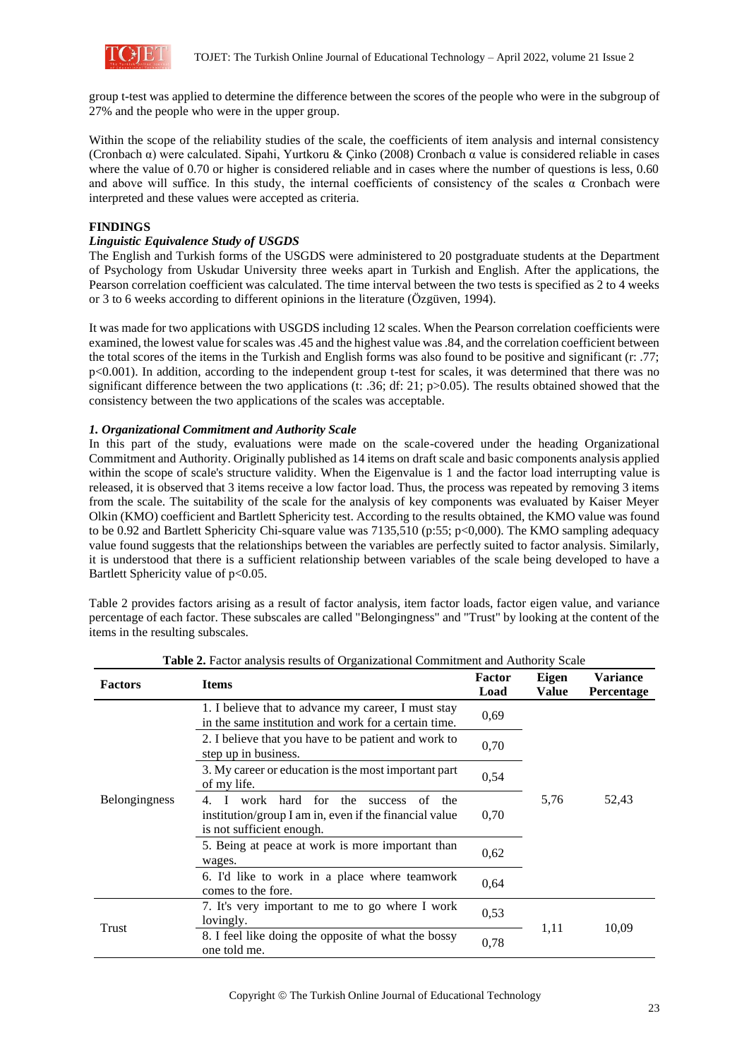

group t-test was applied to determine the difference between the scores of the people who were in the subgroup of 27% and the people who were in the upper group.

Within the scope of the reliability studies of the scale, the coefficients of item analysis and internal consistency (Cronbach α) were calculated. Sipahi, Yurtkoru & Çinko (2008) Cronbach α value is considered reliable in cases where the value of 0.70 or higher is considered reliable and in cases where the number of questions is less, 0.60 and above will suffice. In this study, the internal coefficients of consistency of the scales  $\alpha$  Cronbach were interpreted and these values were accepted as criteria.

### **FINDINGS**

#### *Linguistic Equivalence Study of USGDS*

The English and Turkish forms of the USGDS were administered to 20 postgraduate students at the Department of Psychology from Uskudar University three weeks apart in Turkish and English. After the applications, the Pearson correlation coefficient was calculated. The time interval between the two tests is specified as 2 to 4 weeks or 3 to 6 weeks according to different opinions in the literature (Özgüven, 1994).

It was made for two applications with USGDS including 12 scales. When the Pearson correlation coefficients were examined, the lowest value for scales was .45 and the highest value was .84, and the correlation coefficient between the total scores of the items in the Turkish and English forms was also found to be positive and significant (r: .77; p<0.001). In addition, according to the independent group t-test for scales, it was determined that there was no significant difference between the two applications (t: .36; df: 21; p>0.05). The results obtained showed that the consistency between the two applications of the scales was acceptable.

#### *1. Organizational Commitment and Authority Scale*

In this part of the study, evaluations were made on the scale-covered under the heading Organizational Commitment and Authority. Originally published as 14 items on draft scale and basic components analysis applied within the scope of scale's structure validity. When the Eigenvalue is 1 and the factor load interrupting value is released, it is observed that 3 items receive a low factor load. Thus, the process was repeated by removing 3 items from the scale. The suitability of the scale for the analysis of key components was evaluated by Kaiser Meyer Olkin (KMO) coefficient and Bartlett Sphericity test. According to the results obtained, the KMO value was found to be 0.92 and Bartlett Sphericity Chi-square value was 7135,510 (p:55; p<0,000). The KMO sampling adequacy value found suggests that the relationships between the variables are perfectly suited to factor analysis. Similarly, it is understood that there is a sufficient relationship between variables of the scale being developed to have a Bartlett Sphericity value of p<0.05.

Table 2 provides factors arising as a result of factor analysis, item factor loads, factor eigen value, and variance percentage of each factor. These subscales are called "Belongingness" and "Trust" by looking at the content of the items in the resulting subscales.

| <b>Factors</b>       | <b>Expressed to the property of Organizational Communication</b> and Framor<br><b>Items</b>                                                  | Factor<br>Load | Eigen<br><b>Value</b> | <b>Variance</b><br><b>Percentage</b> |
|----------------------|----------------------------------------------------------------------------------------------------------------------------------------------|----------------|-----------------------|--------------------------------------|
| <b>Belongingness</b> | 1. I believe that to advance my career, I must stay<br>in the same institution and work for a certain time.                                  | 0,69           |                       |                                      |
|                      | 2. I believe that you have to be patient and work to<br>step up in business.                                                                 | 0.70           |                       |                                      |
|                      | 3. My career or education is the most important part<br>of my life.                                                                          | 0.54           |                       |                                      |
|                      | 4. I work hard for the<br>the<br><b>SUCCESS</b><br>of<br>institution/group I am in, even if the financial value<br>is not sufficient enough. | 0.70           | 5,76                  | 52,43                                |
|                      | 5. Being at peace at work is more important than<br>wages.                                                                                   | 0.62           |                       |                                      |
|                      | 6. I'd like to work in a place where teamwork<br>comes to the fore.                                                                          | 0.64           |                       |                                      |
| Trust                | 7. It's very important to me to go where I work<br>lovingly.                                                                                 | 0,53           | 1,11                  | 10,09                                |
|                      | 8. I feel like doing the opposite of what the bossy<br>one told me.                                                                          | 0.78           |                       |                                      |

**Table 2.** Factor analysis results of Organizational Commitment and Authority Scale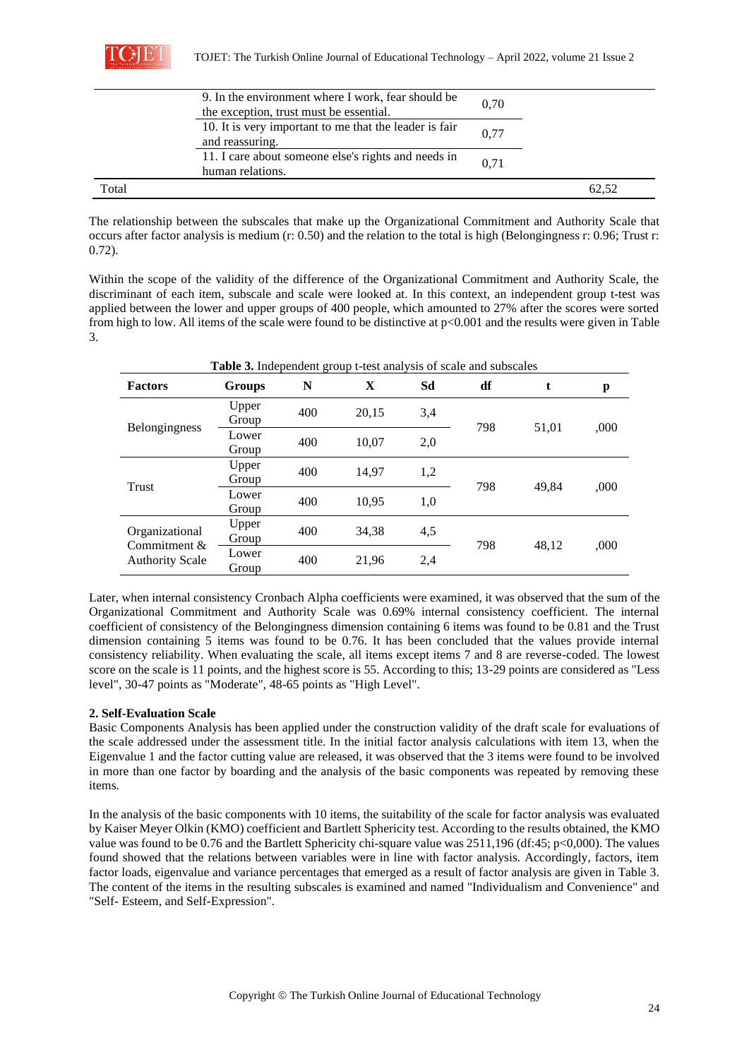|       | 9. In the environment where I work, fear should be<br>the exception, trust must be essential. | 0.70 |       |
|-------|-----------------------------------------------------------------------------------------------|------|-------|
|       | 10. It is very important to me that the leader is fair<br>and reassuring.                     | 0.77 |       |
|       | 11. I care about someone else's rights and needs in<br>human relations.                       | 0.71 |       |
| Total |                                                                                               |      | 62.52 |

The relationship between the subscales that make up the Organizational Commitment and Authority Scale that occurs after factor analysis is medium (r: 0.50) and the relation to the total is high (Belongingness r: 0.96; Trust r: 0.72).

Within the scope of the validity of the difference of the Organizational Commitment and Authority Scale, the discriminant of each item, subscale and scale were looked at. In this context, an independent group t-test was applied between the lower and upper groups of 400 people, which amounted to 27% after the scores were sorted from high to low. All items of the scale were found to be distinctive at p<0.001 and the results were given in Table 3.

| <b>Table 3.</b> Independent group t-test analysis of scale and subscales |                |     |       |     |     |       |      |  |  |
|--------------------------------------------------------------------------|----------------|-----|-------|-----|-----|-------|------|--|--|
| <b>Factors</b>                                                           | <b>Groups</b>  | N   | X     | Sd  | df  |       | p    |  |  |
| <b>Belongingness</b>                                                     | Upper<br>Group | 400 | 20,15 | 3,4 |     |       |      |  |  |
|                                                                          | Lower<br>Group | 400 | 10,07 | 2,0 | 798 | 51,01 | ,000 |  |  |
| Trust                                                                    | Upper<br>Group | 400 | 14,97 | 1,2 | 798 | 49.84 |      |  |  |
|                                                                          | Lower<br>Group | 400 | 10.95 | 1,0 |     |       | ,000 |  |  |
| Organizational<br>Commitment $\&$<br><b>Authority Scale</b>              | Upper<br>Group | 400 | 34,38 | 4,5 | 798 | 48.12 | ,000 |  |  |
|                                                                          | Lower<br>Group | 400 | 21,96 | 2,4 |     |       |      |  |  |

Later, when internal consistency Cronbach Alpha coefficients were examined, it was observed that the sum of the Organizational Commitment and Authority Scale was 0.69% internal consistency coefficient. The internal coefficient of consistency of the Belongingness dimension containing 6 items was found to be 0.81 and the Trust dimension containing 5 items was found to be 0.76. It has been concluded that the values provide internal consistency reliability. When evaluating the scale, all items except items 7 and 8 are reverse-coded. The lowest score on the scale is 11 points, and the highest score is 55. According to this; 13-29 points are considered as "Less level", 30-47 points as "Moderate", 48-65 points as "High Level".

# **2. Self-Evaluation Scale**

Basic Components Analysis has been applied under the construction validity of the draft scale for evaluations of the scale addressed under the assessment title. In the initial factor analysis calculations with item 13, when the Eigenvalue 1 and the factor cutting value are released, it was observed that the 3 items were found to be involved in more than one factor by boarding and the analysis of the basic components was repeated by removing these items.

In the analysis of the basic components with 10 items, the suitability of the scale for factor analysis was evaluated by Kaiser Meyer Olkin (KMO) coefficient and Bartlett Sphericity test. According to the results obtained, the KMO value was found to be 0.76 and the Bartlett Sphericity chi-square value was 2511,196 (df:45; p<0,000). The values found showed that the relations between variables were in line with factor analysis. Accordingly, factors, item factor loads, eigenvalue and variance percentages that emerged as a result of factor analysis are given in Table 3. The content of the items in the resulting subscales is examined and named "Individualism and Convenience" and "Self- Esteem, and Self-Expression".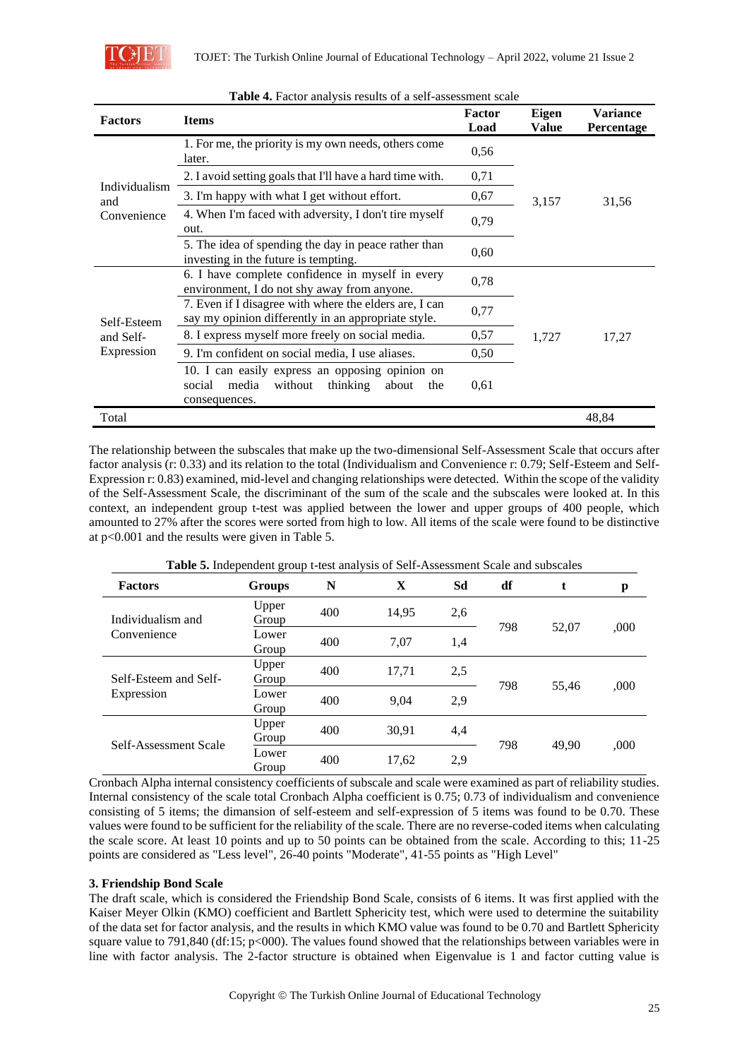

| <b>Factors</b>       | <b>Items</b>                                                                                                               | Factor<br>Load | Eigen<br>Value | <b>Variance</b><br>Percentage |  |
|----------------------|----------------------------------------------------------------------------------------------------------------------------|----------------|----------------|-------------------------------|--|
|                      | 1. For me, the priority is my own needs, others come<br>later.                                                             | 0,56           |                |                               |  |
|                      | 2. I avoid setting goals that I'll have a hard time with.                                                                  | 0,71           |                |                               |  |
| Individualism<br>and | 3. I'm happy with what I get without effort.                                                                               | 0,67           | 3,157          | 31,56                         |  |
| Convenience          | 4. When I'm faced with adversity, I don't tire myself<br>out.                                                              | 0,79           |                |                               |  |
|                      | 5. The idea of spending the day in peace rather than<br>investing in the future is tempting.                               | 0,60           |                |                               |  |
|                      | 6. I have complete confidence in myself in every<br>environment, I do not shy away from anyone.                            | 0,78           |                |                               |  |
| Self-Esteem          | 7. Even if I disagree with where the elders are, I can<br>say my opinion differently in an appropriate style.              | 0,77           |                |                               |  |
| and Self-            | 8. I express myself more freely on social media.                                                                           | 0,57           | 1,727          | 17,27                         |  |
| Expression           | 9. I'm confident on social media, I use aliases.                                                                           | 0.50           |                |                               |  |
|                      | 10. I can easily express an opposing opinion on<br>media<br>without<br>thinking<br>about<br>social<br>the<br>consequences. | 0,61           |                |                               |  |
| Total                |                                                                                                                            |                |                | 48,84                         |  |

#### **Table 4.** Factor analysis results of a self-assessment scale

The relationship between the subscales that make up the two-dimensional Self-Assessment Scale that occurs after factor analysis (r: 0.33) and its relation to the total (Individualism and Convenience r: 0.79; Self-Esteem and Self-Expression r: 0.83) examined, mid-level and changing relationships were detected. Within the scope of the validity of the Self-Assessment Scale, the discriminant of the sum of the scale and the subscales were looked at. In this context, an independent group t-test was applied between the lower and upper groups of 400 people, which amounted to 27% after the scores were sorted from high to low. All items of the scale were found to be distinctive at p<0.001 and the results were given in Table 5.

| <b>Table 5:</b> Independent group t-test analysis of Bell-Assessment Beare and subscarcs |                |     |       |            |     |       |      |  |
|------------------------------------------------------------------------------------------|----------------|-----|-------|------------|-----|-------|------|--|
| <b>Factors</b>                                                                           | <b>Groups</b>  | N   | X     | Sd         | df  | t     | p    |  |
| Individualism and                                                                        | Upper<br>Group | 400 | 14,95 | 2,6        | 798 |       |      |  |
| Convenience                                                                              | Lower<br>Group | 400 | 7,07  | 1,4        |     | 52,07 | ,000 |  |
| Self-Esteem and Self-                                                                    | Upper<br>Group | 400 | 17,71 | 2,5        | 798 | 55.46 | ,000 |  |
| Expression                                                                               | Lower<br>Group | 400 | 9,04  | 2,9        |     |       |      |  |
|                                                                                          | Upper<br>Group | 400 | 30.91 | 4,4        |     |       |      |  |
| Self-Assessment Scale                                                                    | Lower<br>Group | 400 | 17,62 | 798<br>2,9 |     | 49.90 | ,000 |  |

**Table 5.** Independent group t-test analysis of Self-Assessment Scale and subscales

Cronbach Alpha internal consistency coefficients of subscale and scale were examined as part of reliability studies. Internal consistency of the scale total Cronbach Alpha coefficient is 0.75; 0.73 of individualism and convenience consisting of 5 items; the dimansion of self-esteem and self-expression of 5 items was found to be 0.70. These values were found to be sufficient for the reliability of the scale. There are no reverse-coded items when calculating the scale score. At least 10 points and up to 50 points can be obtained from the scale. According to this; 11-25 points are considered as "Less level", 26-40 points "Moderate", 41-55 points as "High Level"

### **3. Friendship Bond Scale**

The draft scale, which is considered the Friendship Bond Scale, consists of 6 items. It was first applied with the Kaiser Meyer Olkin (KMO) coefficient and Bartlett Sphericity test, which were used to determine the suitability of the data set for factor analysis, and the results in which KMO value was found to be 0.70 and Bartlett Sphericity square value to 791,840 (df:15;  $p<000$ ). The values found showed that the relationships between variables were in line with factor analysis. The 2-factor structure is obtained when Eigenvalue is 1 and factor cutting value is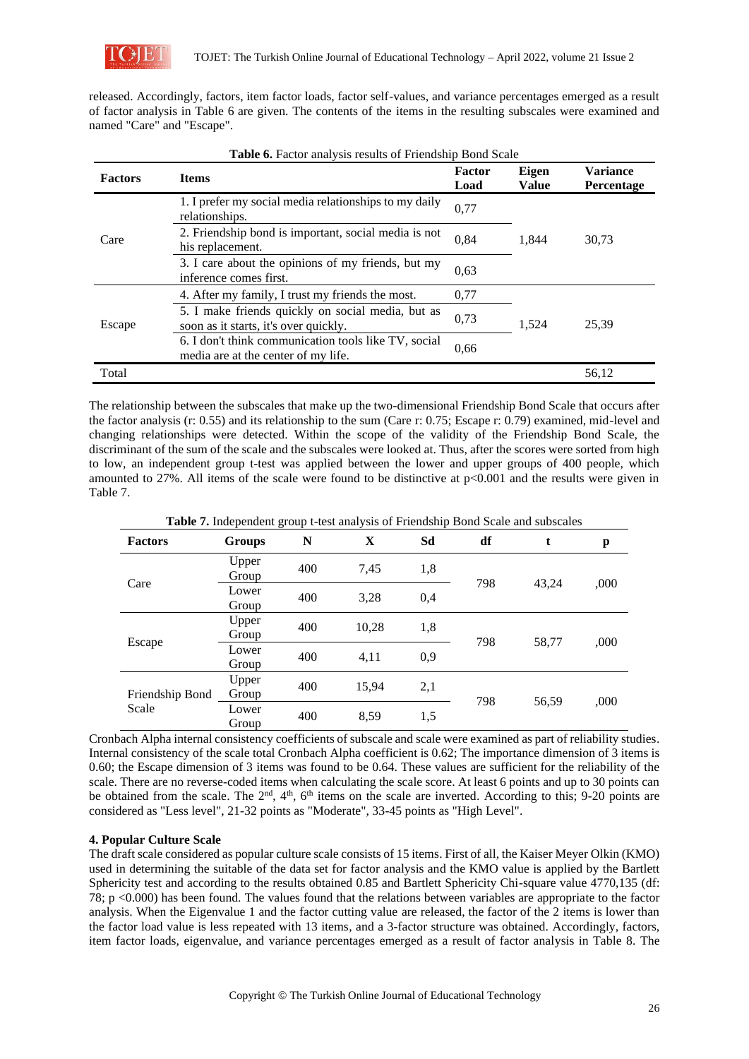

released. Accordingly, factors, item factor loads, factor self-values, and variance percentages emerged as a result of factor analysis in Table 6 are given. The contents of the items in the resulting subscales were examined and named "Care" and "Escape".

| <b>Factors</b> | <b>Items</b>                                                                                | Factor<br>Load | <b>Eigen</b><br><b>Value</b> | <b>Variance</b><br>Percentage |
|----------------|---------------------------------------------------------------------------------------------|----------------|------------------------------|-------------------------------|
|                | 1. I prefer my social media relationships to my daily<br>relationships.                     | 0,77           |                              |                               |
| Care           | 2. Friendship bond is important, social media is not<br>his replacement.                    | 1.844          | 30,73                        |                               |
|                | 3. I care about the opinions of my friends, but my<br>inference comes first.                | 0,63           |                              |                               |
|                | 4. After my family, I trust my friends the most.                                            | 0,77           |                              |                               |
| Escape         | 5. I make friends quickly on social media, but as<br>soon as it starts, it's over quickly.  | 0,73           | 1,524                        | 25,39                         |
|                | 6. I don't think communication tools like TV, social<br>media are at the center of my life. | 0.66           |                              |                               |
| Total          |                                                                                             |                |                              | 56,12                         |

Table 6. Factor analysis results of Friendship Bond Scale

The relationship between the subscales that make up the two-dimensional Friendship Bond Scale that occurs after the factor analysis (r: 0.55) and its relationship to the sum (Care r: 0.75; Escape r: 0.79) examined, mid-level and changing relationships were detected. Within the scope of the validity of the Friendship Bond Scale, the discriminant of the sum of the scale and the subscales were looked at. Thus, after the scores were sorted from high to low, an independent group t-test was applied between the lower and upper groups of 400 people, which amounted to 27%. All items of the scale were found to be distinctive at p<0.001 and the results were given in Table 7.

|                          |                | - <del>-</del> |       |     |     |       |      |
|--------------------------|----------------|----------------|-------|-----|-----|-------|------|
| <b>Factors</b>           | <b>Groups</b>  | N              | X     | Sd  | df  | t     | p    |
| Care                     | Upper<br>Group | 400            | 7,45  | 1,8 | 798 | 43,24 |      |
|                          | Lower<br>Group | 400            | 3,28  | 0,4 |     |       | ,000 |
| Escape                   | Upper<br>Group | 400            | 10,28 | 1,8 | 798 | 58,77 | ,000 |
|                          | Lower<br>Group | 400            | 4,11  | 0,9 |     |       |      |
| Friendship Bond<br>Scale | Upper<br>Group | 400            | 15,94 | 2,1 | 798 |       |      |
|                          | Lower<br>Group | 400            | 8,59  | 1,5 |     | 56,59 | ,000 |

**Table 7.** Independent group t-test analysis of Friendship Bond Scale and subscales

Cronbach Alpha internal consistency coefficients of subscale and scale were examined as part of reliability studies. Internal consistency of the scale total Cronbach Alpha coefficient is 0.62; The importance dimension of 3 items is 0.60; the Escape dimension of 3 items was found to be 0.64. These values are sufficient for the reliability of the scale. There are no reverse-coded items when calculating the scale score. At least 6 points and up to 30 points can be obtained from the scale. The  $2<sup>nd</sup>$ ,  $4<sup>th</sup>$ ,  $6<sup>th</sup>$  items on the scale are inverted. According to this; 9-20 points are considered as "Less level", 21-32 points as "Moderate", 33-45 points as "High Level".

### **4. Popular Culture Scale**

The draft scale considered as popular culture scale consists of 15 items. First of all, the Kaiser Meyer Olkin (KMO) used in determining the suitable of the data set for factor analysis and the KMO value is applied by the Bartlett Sphericity test and according to the results obtained 0.85 and Bartlett Sphericity Chi-square value 4770,135 (df: 78; p <0.000) has been found. The values found that the relations between variables are appropriate to the factor analysis. When the Eigenvalue 1 and the factor cutting value are released, the factor of the 2 items is lower than the factor load value is less repeated with 13 items, and a 3-factor structure was obtained. Accordingly, factors, item factor loads, eigenvalue, and variance percentages emerged as a result of factor analysis in Table 8. The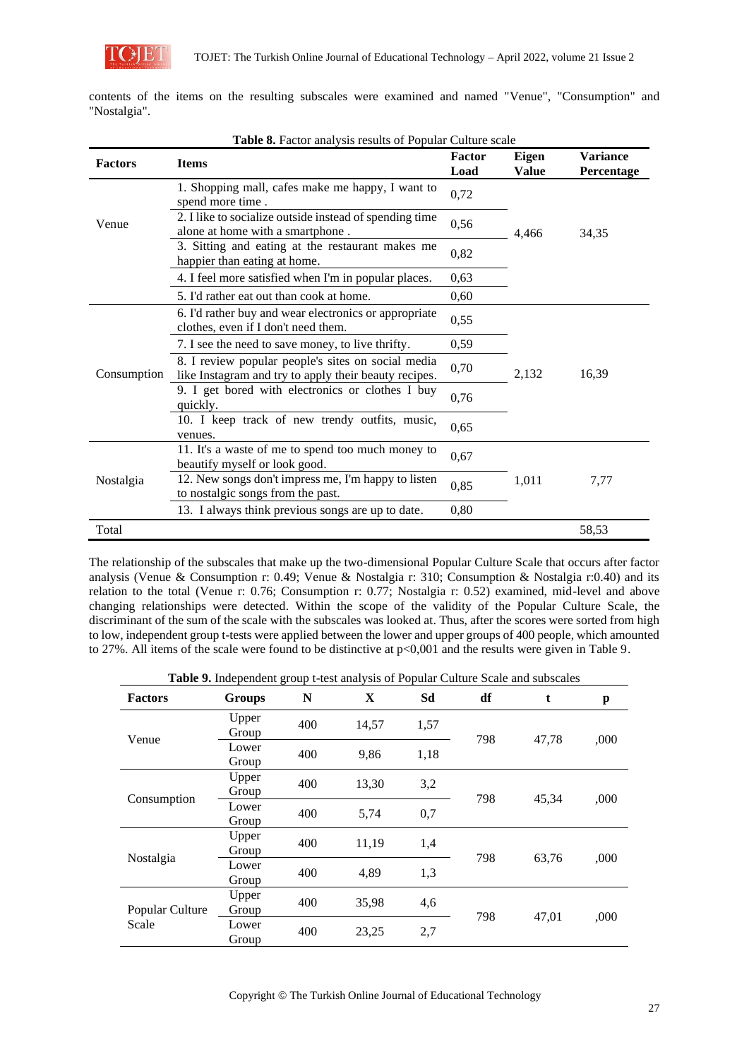

|              |  |  |  |  |  |  | contents of the items on the resulting subscales were examined and named "Venue", "Consumption" and |  |
|--------------|--|--|--|--|--|--|-----------------------------------------------------------------------------------------------------|--|
| "Nostalgia". |  |  |  |  |  |  |                                                                                                     |  |

|                | Table 8. Factor analysis results of Popular Culture scale                                                                    |                |                              |                               |
|----------------|------------------------------------------------------------------------------------------------------------------------------|----------------|------------------------------|-------------------------------|
| <b>Factors</b> | <b>Items</b>                                                                                                                 | Factor<br>Load | <b>Eigen</b><br><b>Value</b> | <b>Variance</b><br>Percentage |
|                | 1. Shopping mall, cafes make me happy, I want to<br>spend more time.                                                         | 0,72           |                              |                               |
| Venue          | 2. I like to socialize outside instead of spending time<br>alone at home with a smartphone.                                  | 0,56           | 4,466                        | 34,35                         |
|                | 3. Sitting and eating at the restaurant makes me<br>happier than eating at home.                                             | 0,82           |                              |                               |
|                | 4. I feel more satisfied when I'm in popular places.                                                                         | 0,63           |                              |                               |
|                | 5. I'd rather eat out than cook at home.                                                                                     | 0,60           |                              |                               |
|                | 6. I'd rather buy and wear electronics or appropriate<br>clothes, even if I don't need them.                                 | 0,55           |                              |                               |
|                | 0,59<br>7. I see the need to save money, to live thrifty.                                                                    |                |                              |                               |
| Consumption    | 8. I review popular people's sites on social media<br>0,70<br>2,132<br>like Instagram and try to apply their beauty recipes. |                |                              | 16,39                         |
|                | 9. I get bored with electronics or clothes I buy<br>quickly.                                                                 | 0,76           |                              |                               |
|                | 10. I keep track of new trendy outfits, music,<br>venues.                                                                    | 0,65           |                              |                               |
|                | 11. It's a waste of me to spend too much money to<br>beautify myself or look good.                                           | 0,67           |                              |                               |
| Nostalgia      | 12. New songs don't impress me, I'm happy to listen<br>to nostalgic songs from the past.                                     | 0,85           | 1,011                        | 7,77                          |
|                | 13. I always think previous songs are up to date.                                                                            | 0,80           |                              |                               |
| Total          |                                                                                                                              |                |                              | 58,53                         |

The relationship of the subscales that make up the two-dimensional Popular Culture Scale that occurs after factor analysis (Venue & Consumption r: 0.49; Venue & Nostalgia r: 310; Consumption & Nostalgia r:0.40) and its relation to the total (Venue r: 0.76; Consumption r: 0.77; Nostalgia r: 0.52) examined, mid-level and above changing relationships were detected. Within the scope of the validity of the Popular Culture Scale, the discriminant of the sum of the scale with the subscales was looked at. Thus, after the scores were sorted from high to low, independent group t-tests were applied between the lower and upper groups of 400 people, which amounted to 27%. All items of the scale were found to be distinctive at p<0,001 and the results were given in Table 9.

**Table 9.** Independent group t-test analysis of Popular Culture Scale and subscales

| <b>Factors</b>           | <b>Groups</b>  | N   | X     | Sd   | df  | t     | p    |
|--------------------------|----------------|-----|-------|------|-----|-------|------|
| Venue                    | Upper<br>Group | 400 | 14,57 | 1,57 | 798 | 47,78 | ,000 |
|                          | Lower<br>Group | 400 | 9,86  | 1,18 |     |       |      |
| Consumption              | Upper<br>Group | 400 | 13,30 | 3,2  | 798 | 45,34 | ,000 |
|                          | Lower<br>Group | 400 | 5,74  | 0,7  |     |       |      |
|                          | Upper<br>Group | 400 | 11,19 | 1,4  | 798 |       |      |
| Nostalgia                | Lower<br>Group | 400 | 4,89  | 1,3  |     | 63,76 | ,000 |
| Popular Culture<br>Scale | Upper<br>Group | 400 | 35,98 | 4,6  | 798 |       |      |
|                          | Lower<br>Group | 400 | 23,25 | 2,7  |     | 47,01 | ,000 |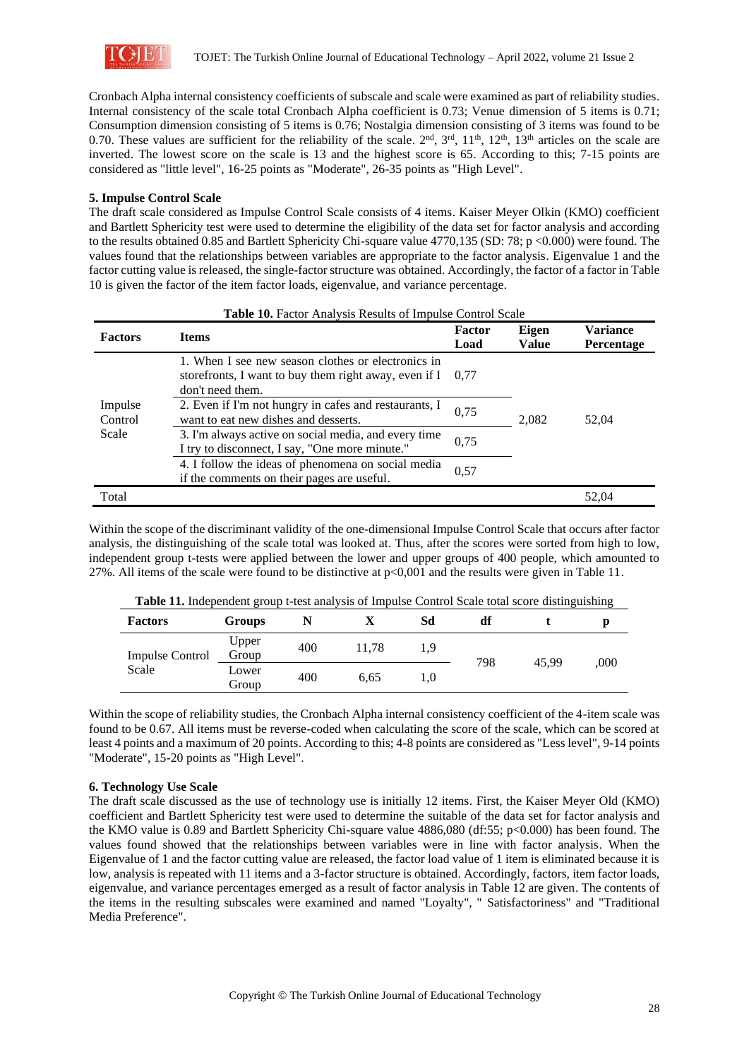

Cronbach Alpha internal consistency coefficients of subscale and scale were examined as part of reliability studies. Internal consistency of the scale total Cronbach Alpha coefficient is 0.73; Venue dimension of 5 items is 0.71; Consumption dimension consisting of 5 items is 0.76; Nostalgia dimension consisting of 3 items was found to be 0.70. These values are sufficient for the reliability of the scale.  $2<sup>nd</sup>$ ,  $3<sup>rd</sup>$ ,  $11<sup>th</sup>$ ,  $12<sup>th</sup>$ ,  $13<sup>th</sup>$  articles on the scale are inverted. The lowest score on the scale is 13 and the highest score is 65. According to this; 7-15 points are considered as "little level", 16-25 points as "Moderate", 26-35 points as "High Level".

#### **5. Impulse Control Scale**

The draft scale considered as Impulse Control Scale consists of 4 items. Kaiser Meyer Olkin (KMO) coefficient and Bartlett Sphericity test were used to determine the eligibility of the data set for factor analysis and according to the results obtained 0.85 and Bartlett Sphericity Chi-square value 4770,135 (SD: 78; p <0.000) were found. The values found that the relationships between variables are appropriate to the factor analysis. Eigenvalue 1 and the factor cutting value is released, the single-factor structure was obtained. Accordingly, the factor of a factor in Table 10 is given the factor of the item factor loads, eigenvalue, and variance percentage.

| <b>Table 10.</b> Factor Analysis Results of Impulse Control Scale |                                                                                                                                          |                |                |                                      |  |  |  |
|-------------------------------------------------------------------|------------------------------------------------------------------------------------------------------------------------------------------|----------------|----------------|--------------------------------------|--|--|--|
| <b>Factors</b>                                                    | <b>Items</b>                                                                                                                             | Factor<br>Load | Eigen<br>Value | <b>Variance</b><br><b>Percentage</b> |  |  |  |
| Impulse<br>Control<br>Scale                                       | 1. When I see new season clothes or electronics in<br>storefronts, I want to buy them right away, even if $I = 0.77$<br>don't need them. |                |                |                                      |  |  |  |
|                                                                   | 2. Even if I'm not hungry in cafes and restaurants, I<br>want to eat new dishes and desserts.                                            | 0.75           | 2,082          | 52.04                                |  |  |  |
|                                                                   | 3. I'm always active on social media, and every time<br>I try to disconnect, I say, "One more minute."                                   | 0.75           |                |                                      |  |  |  |
|                                                                   | 4. I follow the ideas of phenomena on social media<br>if the comments on their pages are useful.                                         | 0.57           |                |                                      |  |  |  |
| Total                                                             |                                                                                                                                          |                |                | 52.04                                |  |  |  |

Within the scope of the discriminant validity of the one-dimensional Impulse Control Scale that occurs after factor analysis, the distinguishing of the scale total was looked at. Thus, after the scores were sorted from high to low, independent group t-tests were applied between the lower and upper groups of 400 people, which amounted to 27%. All items of the scale were found to be distinctive at p<0,001 and the results were given in Table 11.

| <b>Table 11.</b> Independent group these and you of impulse control beare total score distinguishing |                |     |       |     |     |       |      |
|------------------------------------------------------------------------------------------------------|----------------|-----|-------|-----|-----|-------|------|
| <b>Factors</b>                                                                                       | <b>Groups</b>  |     |       | Sd  | df  |       |      |
| <b>Impulse Control</b>                                                                               | Upper<br>Group | 400 | 11.78 | 1.9 |     |       |      |
| Scale                                                                                                | Lower<br>Group | 400 | 6.65  | 0.1 | 798 | 45.99 | .000 |

**Table 11.** Independent group t-test analysis of Impulse Control Scale total score distinguishing

Within the scope of reliability studies, the Cronbach Alpha internal consistency coefficient of the 4-item scale was found to be 0.67. All items must be reverse-coded when calculating the score of the scale, which can be scored at least 4 points and a maximum of 20 points. According to this; 4-8 points are considered as "Less level", 9-14 points "Moderate", 15-20 points as "High Level".

#### **6. Technology Use Scale**

The draft scale discussed as the use of technology use is initially 12 items. First, the Kaiser Meyer Old (KMO) coefficient and Bartlett Sphericity test were used to determine the suitable of the data set for factor analysis and the KMO value is 0.89 and Bartlett Sphericity Chi-square value 4886,080 (df:55; p<0.000) has been found. The values found showed that the relationships between variables were in line with factor analysis. When the Eigenvalue of 1 and the factor cutting value are released, the factor load value of 1 item is eliminated because it is low, analysis is repeated with 11 items and a 3-factor structure is obtained. Accordingly, factors, item factor loads, eigenvalue, and variance percentages emerged as a result of factor analysis in Table 12 are given. The contents of the items in the resulting subscales were examined and named "Loyalty", " Satisfactoriness" and "Traditional Media Preference".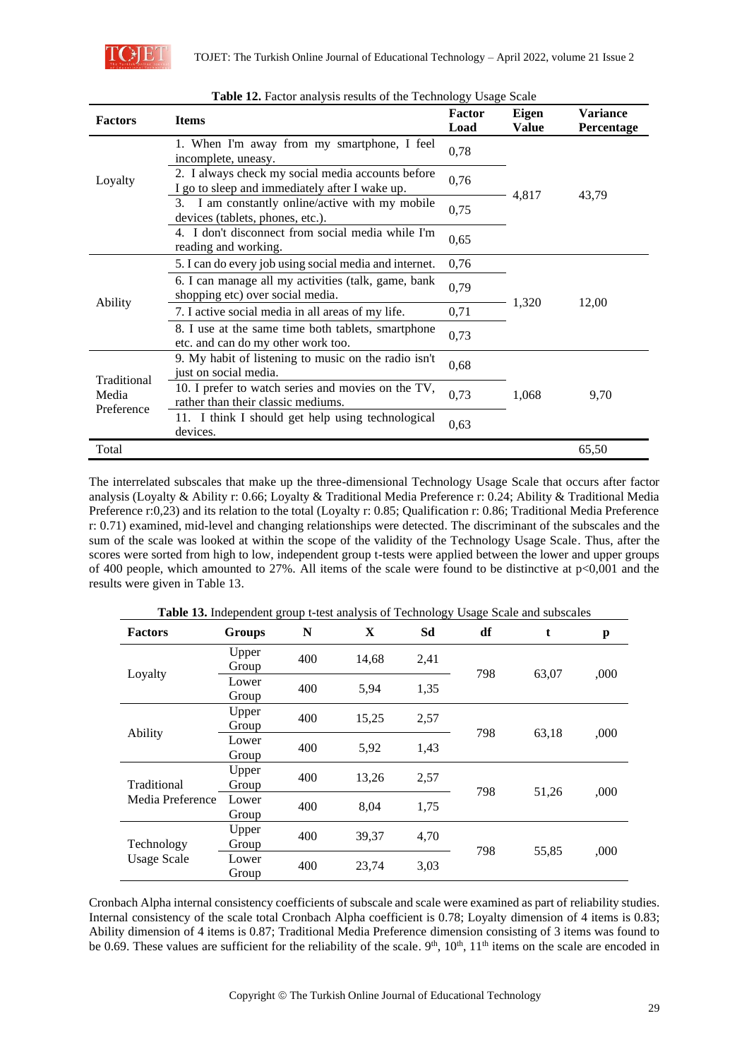

| <b>Factors</b>      | <b>Items</b>                                                                                        | Factor<br>Load | <b>Eigen</b><br><b>Value</b> | <b>Variance</b><br>Percentage |
|---------------------|-----------------------------------------------------------------------------------------------------|----------------|------------------------------|-------------------------------|
|                     | 1. When I'm away from my smartphone, I feel<br>incomplete, uneasy.                                  | 0,78           |                              |                               |
| Loyalty             | 2. I always check my social media accounts before<br>I go to sleep and immediately after I wake up. | 0,76           |                              |                               |
|                     | 3. I am constantly online/active with my mobile<br>devices (tablets, phones, etc.).                 | 0,75           | 4,817                        | 43,79                         |
|                     | 4. I don't disconnect from social media while I'm<br>reading and working.                           | 0,65           |                              |                               |
|                     | 5. I can do every job using social media and internet.                                              | 0,76           |                              |                               |
|                     | 6. I can manage all my activities (talk, game, bank<br>shopping etc) over social media.             | 0,79           |                              |                               |
| Ability             | 7. I active social media in all areas of my life.                                                   | 0,71           | 1,320                        | 12,00                         |
|                     | 8. I use at the same time both tablets, smartphone<br>etc. and can do my other work too.            | 0,73           |                              |                               |
| Traditional         | 9. My habit of listening to music on the radio isn't<br>just on social media.                       | 0,68           |                              |                               |
| Media<br>Preference | 10. I prefer to watch series and movies on the TV,<br>rather than their classic mediums.            | 0,73           | 1,068                        | 9,70                          |
|                     | 11. I think I should get help using technological<br>devices.                                       | 0,63           |                              |                               |
| Total               |                                                                                                     |                |                              | 65,50                         |

|  | Table 12. Factor analysis results of the Technology Usage Scale |  |  |  |
|--|-----------------------------------------------------------------|--|--|--|
|  |                                                                 |  |  |  |

The interrelated subscales that make up the three-dimensional Technology Usage Scale that occurs after factor analysis (Loyalty & Ability r: 0.66; Loyalty & Traditional Media Preference r: 0.24; Ability & Traditional Media Preference r:0,23) and its relation to the total (Loyalty r: 0.85; Qualification r: 0.86; Traditional Media Preference r: 0.71) examined, mid-level and changing relationships were detected. The discriminant of the subscales and the sum of the scale was looked at within the scope of the validity of the Technology Usage Scale. Thus, after the scores were sorted from high to low, independent group t-tests were applied between the lower and upper groups of 400 people, which amounted to 27%. All items of the scale were found to be distinctive at p<0,001 and the results were given in Table 13.

| <b>Factors</b>     | <b>Groups</b>         | N     | X     | Sd   | df  | t                                | p    |
|--------------------|-----------------------|-------|-------|------|-----|----------------------------------|------|
|                    | Upper<br>Group        | 400   | 14,68 | 2,41 | 798 |                                  | ,000 |
| Loyalty            | Lower<br>Group        | 400   | 5,94  | 1,35 |     |                                  |      |
|                    | Upper<br>Group        | 400   | 15,25 | 2,57 | 798 | 63,07<br>63,18<br>51,26<br>55,85 | ,000 |
| Ability            | Lower<br>Group        | 400   | 5,92  | 1,43 |     |                                  |      |
| Traditional        | Upper<br>Group        | 400   | 13,26 | 2,57 | 798 |                                  |      |
| Media Preference   | Lower<br>Group        | 400   | 8,04  | 1,75 |     |                                  | ,000 |
| Technology         | Upper<br>Group        | 400   | 39,37 | 4,70 | 798 |                                  | ,000 |
| <b>Usage Scale</b> | Lower<br>400<br>Group | 23,74 | 3,03  |      |     |                                  |      |

**Table 13.** Independent group t-test analysis of Technology Usage Scale and subscales

Cronbach Alpha internal consistency coefficients of subscale and scale were examined as part of reliability studies. Internal consistency of the scale total Cronbach Alpha coefficient is 0.78; Loyalty dimension of 4 items is 0.83; Ability dimension of 4 items is 0.87; Traditional Media Preference dimension consisting of 3 items was found to be 0.69. These values are sufficient for the reliability of the scale.  $9<sup>th</sup>$ ,  $10<sup>th</sup>$ ,  $11<sup>th</sup>$  items on the scale are encoded in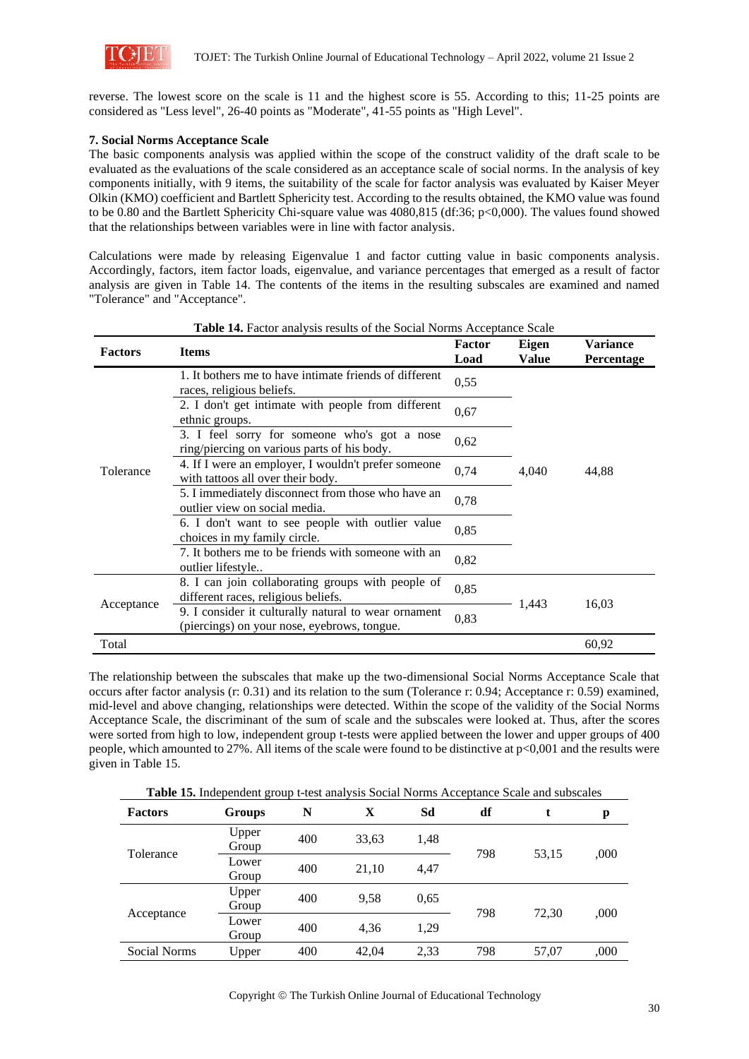

reverse. The lowest score on the scale is 11 and the highest score is 55. According to this; 11-25 points are considered as "Less level", 26-40 points as "Moderate", 41-55 points as "High Level".

### **7. Social Norms Acceptance Scale**

The basic components analysis was applied within the scope of the construct validity of the draft scale to be evaluated as the evaluations of the scale considered as an acceptance scale of social norms. In the analysis of key components initially, with 9 items, the suitability of the scale for factor analysis was evaluated by Kaiser Meyer Olkin (KMO) coefficient and Bartlett Sphericity test. According to the results obtained, the KMO value was found to be 0.80 and the Bartlett Sphericity Chi-square value was 4080,815 (df:36; p<0,000). The values found showed that the relationships between variables were in line with factor analysis.

Calculations were made by releasing Eigenvalue 1 and factor cutting value in basic components analysis. Accordingly, factors, item factor loads, eigenvalue, and variance percentages that emerged as a result of factor analysis are given in Table 14. The contents of the items in the resulting subscales are examined and named "Tolerance" and "Acceptance".

| <b>Factors</b>                                                                                                                     | <b>Items</b>                                                                                | Factor<br>Load | Eigen<br><b>Value</b> | <b>Variance</b><br><b>Percentage</b> |
|------------------------------------------------------------------------------------------------------------------------------------|---------------------------------------------------------------------------------------------|----------------|-----------------------|--------------------------------------|
|                                                                                                                                    | 1. It bothers me to have intimate friends of different<br>races, religious beliefs.         | 0,55           |                       |                                      |
| Tolerance                                                                                                                          | 2. I don't get intimate with people from different<br>ethnic groups.                        | 0,67           |                       |                                      |
|                                                                                                                                    | 3. I feel sorry for someone who's got a nose<br>ring/piercing on various parts of his body. | 0,62           |                       |                                      |
|                                                                                                                                    | 4. If I were an employer, I wouldn't prefer someone<br>with tattoos all over their body.    | 0,74           | 4,040                 | 44,88                                |
|                                                                                                                                    | 5. I immediately disconnect from those who have an<br>outlier view on social media.         | 0,78           |                       |                                      |
|                                                                                                                                    | 6. I don't want to see people with outlier value<br>choices in my family circle.            | 0,85           |                       |                                      |
|                                                                                                                                    | 7. It bothers me to be friends with someone with an<br>outlier lifestyle                    | 0,82           |                       |                                      |
|                                                                                                                                    | 8. I can join collaborating groups with people of<br>different races, religious beliefs.    | 0,85           | 1,443                 | 16,03                                |
| Acceptance<br>9. I consider it culturally natural to wear ornament<br>0,83<br>(piercings) on your nose, eyebrows, tongue.<br>Total |                                                                                             |                |                       |                                      |
|                                                                                                                                    |                                                                                             |                |                       | 60,92                                |

#### **Table 14.** Factor analysis results of the Social Norms Acceptance Scale

The relationship between the subscales that make up the two-dimensional Social Norms Acceptance Scale that occurs after factor analysis (r: 0.31) and its relation to the sum (Tolerance r: 0.94; Acceptance r: 0.59) examined, mid-level and above changing, relationships were detected. Within the scope of the validity of the Social Norms Acceptance Scale, the discriminant of the sum of scale and the subscales were looked at. Thus, after the scores were sorted from high to low, independent group t-tests were applied between the lower and upper groups of 400 people, which amounted to 27%. All items of the scale were found to be distinctive at p<0,001 and the results were given in Table 15.

| <b>Factors</b> | Groups         | N   | X     | Sd   | df           | t     | p    |
|----------------|----------------|-----|-------|------|--------------|-------|------|
| Tolerance      | Upper<br>Group | 400 | 33,63 | 1,48 | 798          |       |      |
|                | Lower<br>Group | 400 | 21,10 | 4,47 |              | 53,15 | ,000 |
|                | Upper<br>Group | 400 | 9,58  | 0.65 | 798<br>72.30 |       |      |
| Acceptance     | Lower<br>Group | 400 | 4,36  | 1,29 |              |       | ,000 |
| Social Norms   | Upper          | 400 | 42,04 | 2,33 | 798          | 57,07 | ,000 |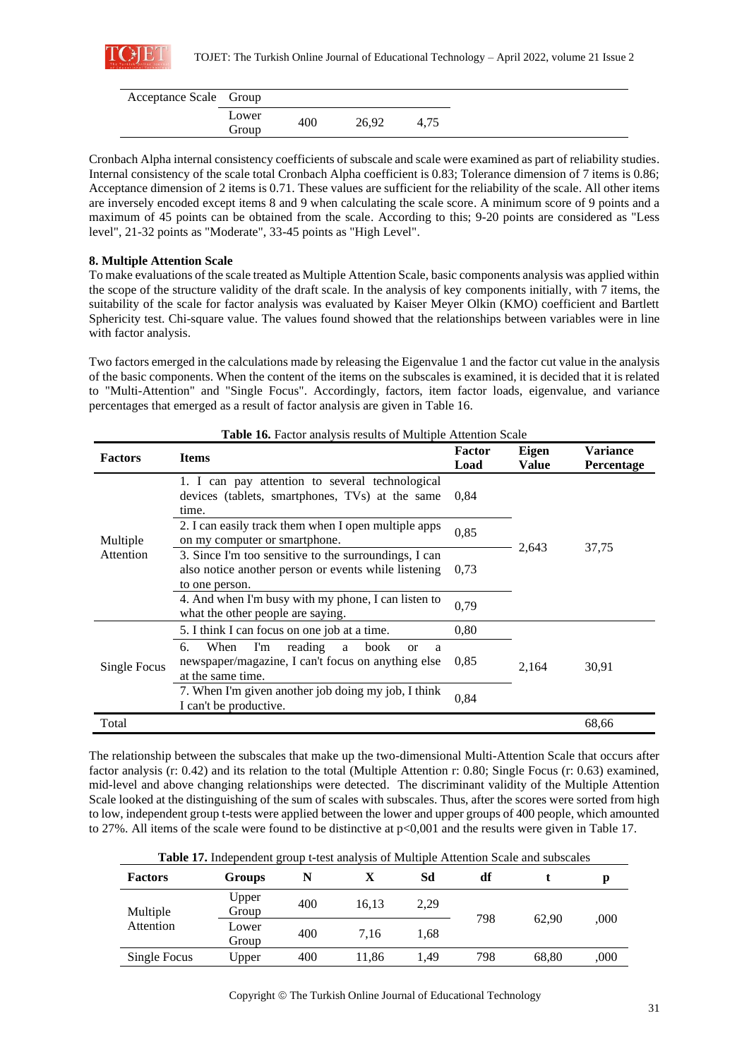

| Acceptance Scale Group |                |     |       |      |
|------------------------|----------------|-----|-------|------|
|                        | Lower<br>Group | 400 | 26.92 | 4.75 |

Cronbach Alpha internal consistency coefficients of subscale and scale were examined as part of reliability studies. Internal consistency of the scale total Cronbach Alpha coefficient is 0.83; Tolerance dimension of 7 items is 0.86; Acceptance dimension of 2 items is 0.71. These values are sufficient for the reliability of the scale. All other items are inversely encoded except items 8 and 9 when calculating the scale score. A minimum score of 9 points and a maximum of 45 points can be obtained from the scale. According to this; 9-20 points are considered as "Less level", 21-32 points as "Moderate", 33-45 points as "High Level".

### **8. Multiple Attention Scale**

To make evaluations of the scale treated as Multiple Attention Scale, basic components analysis was applied within the scope of the structure validity of the draft scale. In the analysis of key components initially, with 7 items, the suitability of the scale for factor analysis was evaluated by Kaiser Meyer Olkin (KMO) coefficient and Bartlett Sphericity test. Chi-square value. The values found showed that the relationships between variables were in line with factor analysis.

Two factors emerged in the calculations made by releasing the Eigenvalue 1 and the factor cut value in the analysis of the basic components. When the content of the items on the subscales is examined, it is decided that it is related to "Multi-Attention" and "Single Focus". Accordingly, factors, item factor loads, eigenvalue, and variance percentages that emerged as a result of factor analysis are given in Table 16.

| <b>Factors</b>                                                                                                                                                            | <b>Items</b>                                                                                                                    | Factor<br>Load | Eigen<br>Value | Variance<br>Percentage |
|---------------------------------------------------------------------------------------------------------------------------------------------------------------------------|---------------------------------------------------------------------------------------------------------------------------------|----------------|----------------|------------------------|
| Multiple<br>Attention                                                                                                                                                     | 1. I can pay attention to several technological<br>devices (tablets, smartphones, TVs) at the same<br>time.                     | 0.84           |                |                        |
|                                                                                                                                                                           | 2. I can easily track them when I open multiple apps<br>on my computer or smartphone.                                           | 0,85           |                | 37,75                  |
|                                                                                                                                                                           | 3. Since I'm too sensitive to the surroundings, I can<br>also notice another person or events while listening<br>to one person. | 0.73           |                |                        |
|                                                                                                                                                                           | 2,643<br>0.79<br>0.80<br>When<br>reading<br>I'm<br>book<br>a<br><b>or</b><br>a<br>0.85<br>2,164<br>0,84                         |                |                |                        |
|                                                                                                                                                                           | 5. I think I can focus on one job at a time.                                                                                    |                |                |                        |
| Single Focus                                                                                                                                                              | 6.<br>newspaper/magazine, I can't focus on anything else<br>at the same time.                                                   |                |                | 30,91                  |
| 4. And when I'm busy with my phone, I can listen to<br>what the other people are saying.<br>7. When I'm given another job doing my job, I think<br>I can't be productive. |                                                                                                                                 |                |                |                        |
| Total                                                                                                                                                                     |                                                                                                                                 |                |                | 68,66                  |

**Table 16.** Factor analysis results of Multiple Attention Scale

The relationship between the subscales that make up the two-dimensional Multi-Attention Scale that occurs after factor analysis (r: 0.42) and its relation to the total (Multiple Attention r: 0.80; Single Focus (r: 0.63) examined, mid-level and above changing relationships were detected. The discriminant validity of the Multiple Attention Scale looked at the distinguishing of the sum of scales with subscales. Thus, after the scores were sorted from high to low, independent group t-tests were applied between the lower and upper groups of 400 people, which amounted to 27%. All items of the scale were found to be distinctive at p<0,001 and the results were given in Table 17.

|  |  | <b>Table 17.</b> Independent group t-test analysis of Multiple Attention Scale and subscales |
|--|--|----------------------------------------------------------------------------------------------|
|--|--|----------------------------------------------------------------------------------------------|

| <b>Factors</b> | Groups         | N   |       | Sd   | df  |       |      |
|----------------|----------------|-----|-------|------|-----|-------|------|
| Multiple       | Upper<br>Group | 400 | 16,13 | 2,29 |     |       | .000 |
| Attention      | Lower<br>Group | 400 | 7.16  | 1.68 | 798 | 62.90 |      |
| Single Focus   | Upper          | 400 | 11.86 | 1.49 | 798 | 68,80 | .000 |

Copyright © The Turkish Online Journal of Educational Technology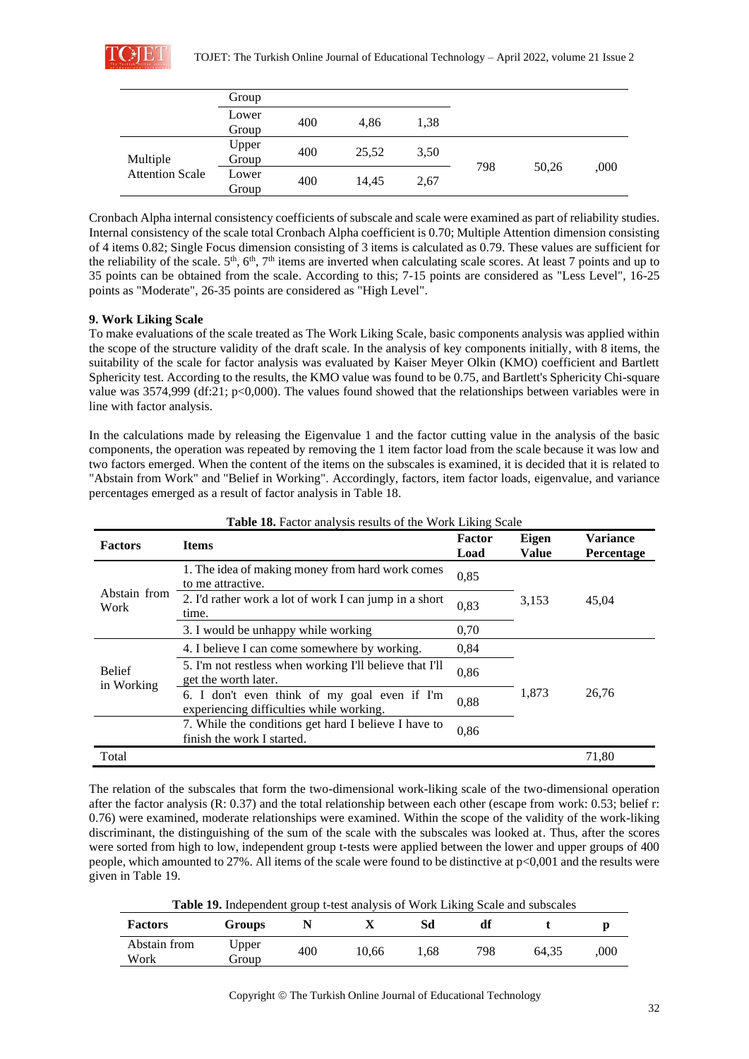

|                        | Group          |     |       |      |     |       |      |
|------------------------|----------------|-----|-------|------|-----|-------|------|
|                        | Lower<br>Group | 400 | 4.86  | 1,38 |     |       |      |
| Multiple               | Upper<br>Group | 400 | 25.52 | 3,50 | 798 |       |      |
| <b>Attention Scale</b> | Lower<br>Group | 400 | 14.45 | 2,67 |     | 50,26 | .000 |

Cronbach Alpha internal consistency coefficients of subscale and scale were examined as part of reliability studies. Internal consistency of the scale total Cronbach Alpha coefficient is 0.70; Multiple Attention dimension consisting of 4 items 0.82; Single Focus dimension consisting of 3 items is calculated as 0.79. These values are sufficient for the reliability of the scale.  $5<sup>th</sup>$ ,  $6<sup>th</sup>$ ,  $7<sup>th</sup>$  items are inverted when calculating scale scores. At least 7 points and up to 35 points can be obtained from the scale. According to this; 7-15 points are considered as "Less Level", 16-25 points as "Moderate", 26-35 points are considered as "High Level".

### **9. Work Liking Scale**

To make evaluations of the scale treated as The Work Liking Scale, basic components analysis was applied within the scope of the structure validity of the draft scale. In the analysis of key components initially, with 8 items, the suitability of the scale for factor analysis was evaluated by Kaiser Meyer Olkin (KMO) coefficient and Bartlett Sphericity test. According to the results, the KMO value was found to be 0.75, and Bartlett's Sphericity Chi-square value was 3574,999 (df:21; p<0,000). The values found showed that the relationships between variables were in line with factor analysis.

In the calculations made by releasing the Eigenvalue 1 and the factor cutting value in the analysis of the basic components, the operation was repeated by removing the 1 item factor load from the scale because it was low and two factors emerged. When the content of the items on the subscales is examined, it is decided that it is related to "Abstain from Work" and "Belief in Working". Accordingly, factors, item factor loads, eigenvalue, and variance percentages emerged as a result of factor analysis in Table 18.

| <b>Factors</b>              | <b>Items</b>                                                                             | Factor<br>Load | Eigen<br><b>Value</b> | <b>Variance</b><br><b>Percentage</b> |  |
|-----------------------------|------------------------------------------------------------------------------------------|----------------|-----------------------|--------------------------------------|--|
| Abstain from<br>Work        | 1. The idea of making money from hard work comes<br>to me attractive.                    |                |                       |                                      |  |
|                             | 2. I'd rather work a lot of work I can jump in a short<br>time.                          | 0,83           | 3,153                 | 45,04                                |  |
|                             | 0,70<br>3. I would be unhappy while working                                              |                |                       |                                      |  |
| <b>Belief</b><br>in Working | 4. I believe I can come somewhere by working.                                            | 0.84           |                       |                                      |  |
|                             | 5. I'm not restless when working I'll believe that I'll<br>get the worth later.          | 0,86           |                       |                                      |  |
|                             | 6. I don't even think of my goal even if I'm<br>experiencing difficulties while working. | 0,88           |                       | 26.76                                |  |
|                             | 7. While the conditions get hard I believe I have to<br>finish the work I started.       | 0,86           |                       |                                      |  |
| Total                       |                                                                                          |                |                       | 71,80                                |  |

#### **Table 18.** Factor analysis results of the Work Liking Scale

The relation of the subscales that form the two-dimensional work-liking scale of the two-dimensional operation after the factor analysis (R: 0.37) and the total relationship between each other (escape from work: 0.53; belief r: 0.76) were examined, moderate relationships were examined. Within the scope of the validity of the work-liking discriminant, the distinguishing of the sum of the scale with the subscales was looked at. Thus, after the scores were sorted from high to low, independent group t-tests were applied between the lower and upper groups of 400 people, which amounted to 27%. All items of the scale were found to be distinctive at p<0,001 and the results were given in Table 19.

**Table 19.** Independent group t-test analysis of Work Liking Scale and subscales

| <b>Factors</b>       | Groups         |     | ∡⊾    | Sd   | df  |       |     |
|----------------------|----------------|-----|-------|------|-----|-------|-----|
| Abstain from<br>Work | Upper<br>droup | 400 | 10.66 | 1.68 | 798 | 64.35 | 000 |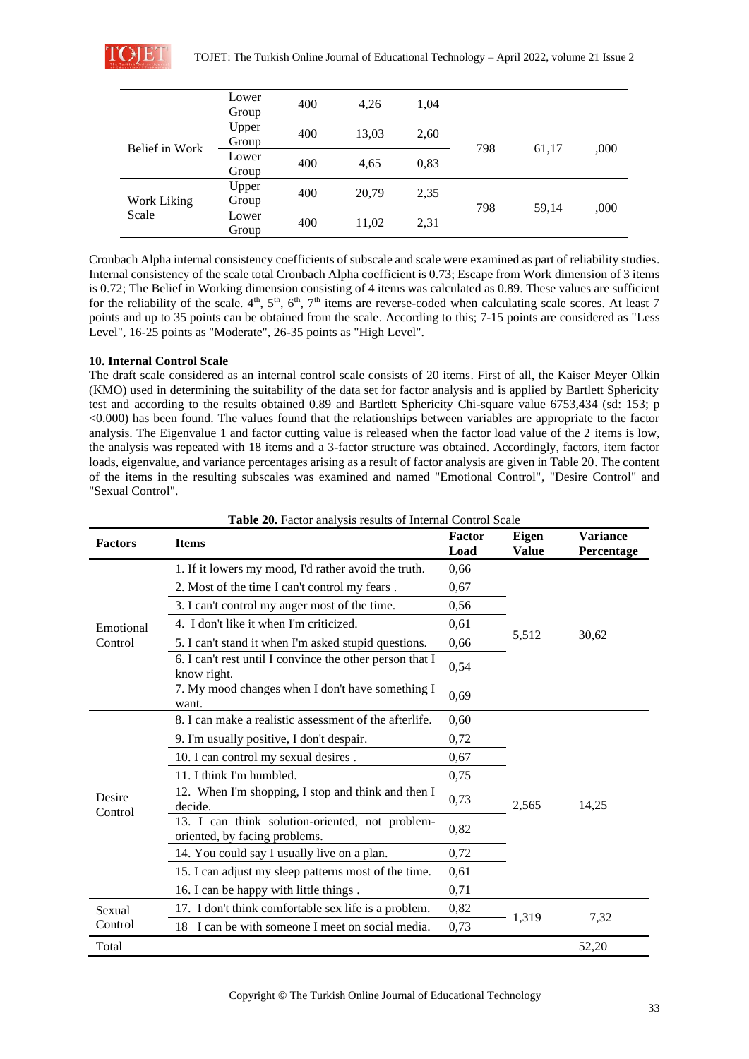|                      | Lower<br>Group | 400 | 4,26  | 1,04 |     |       |      |
|----------------------|----------------|-----|-------|------|-----|-------|------|
| Belief in Work       | Upper<br>Group | 400 | 13,03 | 2,60 |     |       |      |
|                      | Lower<br>Group | 400 | 4,65  | 0,83 | 798 | 61,17 | ,000 |
| Work Liking<br>Scale | Upper<br>Group | 400 | 20,79 | 2,35 |     |       |      |
|                      | Lower<br>Group | 400 | 11,02 | 2,31 | 798 | 59.14 | ,000 |

Cronbach Alpha internal consistency coefficients of subscale and scale were examined as part of reliability studies. Internal consistency of the scale total Cronbach Alpha coefficient is 0.73; Escape from Work dimension of 3 items is 0.72; The Belief in Working dimension consisting of 4 items was calculated as 0.89. These values are sufficient for the reliability of the scale.  $4^{\text{th}}$ ,  $5^{\text{th}}$ ,  $6^{\text{th}}$ ,  $7^{\text{th}}$  items are reverse-coded when calculating scale scores. At least 7 points and up to 35 points can be obtained from the scale. According to this; 7-15 points are considered as "Less Level", 16-25 points as "Moderate", 26-35 points as "High Level".

#### **10. Internal Control Scale**

The draft scale considered as an internal control scale consists of 20 items. First of all, the Kaiser Meyer Olkin (KMO) used in determining the suitability of the data set for factor analysis and is applied by Bartlett Sphericity test and according to the results obtained 0.89 and Bartlett Sphericity Chi-square value 6753,434 (sd: 153; p <0.000) has been found. The values found that the relationships between variables are appropriate to the factor analysis. The Eigenvalue 1 and factor cutting value is released when the factor load value of the 2 items is low, the analysis was repeated with 18 items and a 3-factor structure was obtained. Accordingly, factors, item factor loads, eigenvalue, and variance percentages arising as a result of factor analysis are given in Table 20. The content of the items in the resulting subscales was examined and named "Emotional Control", "Desire Control" and "Sexual Control".

| <b>Factors</b>    | <b>Items</b>                                                                     | Factor<br>Load | Eigen<br><b>Value</b> | <b>Variance</b><br>Percentage |  |
|-------------------|----------------------------------------------------------------------------------|----------------|-----------------------|-------------------------------|--|
|                   | 1. If it lowers my mood, I'd rather avoid the truth.                             | 0,66           |                       |                               |  |
|                   | 2. Most of the time I can't control my fears.                                    | 0,67           |                       |                               |  |
|                   | 3. I can't control my anger most of the time.                                    | 0,56           |                       |                               |  |
| Emotional         | 4. I don't like it when I'm criticized.                                          | 0,61           |                       |                               |  |
| Control           | 5. I can't stand it when I'm asked stupid questions.                             | 0,66           | 5,512                 | 30,62                         |  |
|                   | 6. I can't rest until I convince the other person that I<br>know right.          | 0,54           |                       |                               |  |
|                   | 7. My mood changes when I don't have something I<br>want.                        | 0,69           |                       |                               |  |
|                   | 8. I can make a realistic assessment of the afterlife.                           | 0,60           |                       | 14,25                         |  |
|                   | 9. I'm usually positive, I don't despair.                                        | 0,72           |                       |                               |  |
|                   | 10. I can control my sexual desires.                                             | 0.67           |                       |                               |  |
|                   | 11. I think I'm humbled.                                                         | 0,75           |                       |                               |  |
| Desire<br>Control | 12. When I'm shopping, I stop and think and then I<br>decide.                    | 0,73           | 2,565                 |                               |  |
|                   | 13. I can think solution-oriented, not problem-<br>oriented, by facing problems. | 0,82           |                       |                               |  |
|                   | 14. You could say I usually live on a plan.                                      | 0,72           |                       |                               |  |
|                   | 15. I can adjust my sleep patterns most of the time.                             | 0,61           |                       |                               |  |
|                   | 16. I can be happy with little things.                                           | 0,71           |                       |                               |  |
| Sexual            | 17. I don't think comfortable sex life is a problem.                             | 0,82           |                       |                               |  |
| Control           | 18 I can be with someone I meet on social media.                                 | 0,73           | 1,319                 | 7,32                          |  |
| Total             |                                                                                  |                |                       | 52,20                         |  |

**Table 20.** Factor analysis results of Internal Control Scale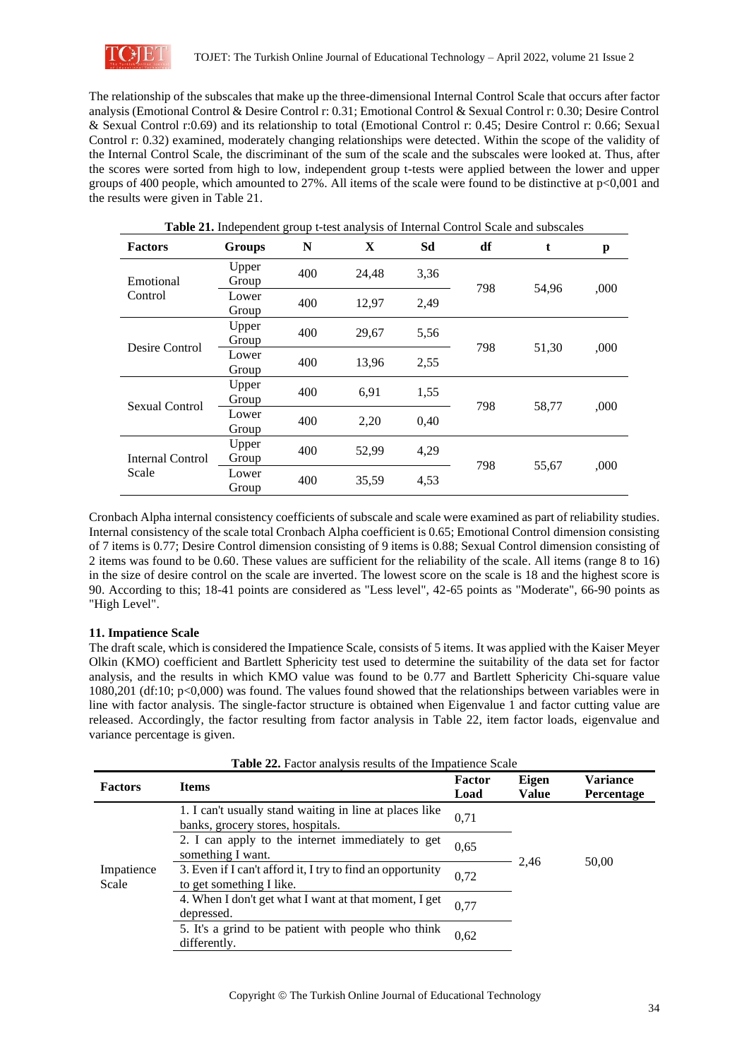

The relationship of the subscales that make up the three-dimensional Internal Control Scale that occurs after factor analysis (Emotional Control & Desire Control r: 0.31; Emotional Control & Sexual Control r: 0.30; Desire Control & Sexual Control r:0.69) and its relationship to total (Emotional Control r: 0.45; Desire Control r: 0.66; Sexual Control r: 0.32) examined, moderately changing relationships were detected. Within the scope of the validity of the Internal Control Scale, the discriminant of the sum of the scale and the subscales were looked at. Thus, after the scores were sorted from high to low, independent group t-tests were applied between the lower and upper groups of 400 people, which amounted to 27%. All items of the scale were found to be distinctive at p<0,001 and the results were given in Table 21.

| Table 21. Independent group t-test analysis of Internal Control Scale and subscales |                |     |       |      |     |       |      |  |
|-------------------------------------------------------------------------------------|----------------|-----|-------|------|-----|-------|------|--|
| <b>Factors</b>                                                                      | <b>Groups</b>  | N   | X     | Sd   | df  |       | p    |  |
| Emotional<br>Control                                                                | Upper<br>Group | 400 | 24,48 | 3,36 | 798 | 54,96 | ,000 |  |
|                                                                                     | Lower<br>Group | 400 | 12,97 | 2,49 |     |       |      |  |
| Desire Control                                                                      | Upper<br>Group | 400 | 29,67 | 5,56 |     | 51,30 | ,000 |  |
|                                                                                     | Lower<br>Group | 400 | 13,96 | 2,55 | 798 |       |      |  |
| <b>Sexual Control</b>                                                               | Upper<br>Group | 400 | 6.91  | 1,55 | 798 | 58,77 |      |  |
|                                                                                     | Lower<br>Group | 400 | 2,20  | 0,40 |     |       | ,000 |  |
| <b>Internal Control</b><br>Scale                                                    | Upper<br>Group | 400 | 52,99 | 4,29 |     |       |      |  |
|                                                                                     | Lower<br>Group | 400 | 35,59 | 4,53 | 798 | 55,67 | ,000 |  |

Cronbach Alpha internal consistency coefficients of subscale and scale were examined as part of reliability studies. Internal consistency of the scale total Cronbach Alpha coefficient is 0.65; Emotional Control dimension consisting of 7 items is 0.77; Desire Control dimension consisting of 9 items is 0.88; Sexual Control dimension consisting of 2 items was found to be 0.60. These values are sufficient for the reliability of the scale. All items (range 8 to 16) in the size of desire control on the scale are inverted. The lowest score on the scale is 18 and the highest score is 90. According to this; 18-41 points are considered as "Less level", 42-65 points as "Moderate", 66-90 points as "High Level".

### **11. Impatience Scale**

The draft scale, which is considered the Impatience Scale, consists of 5 items. It was applied with the Kaiser Meyer Olkin (KMO) coefficient and Bartlett Sphericity test used to determine the suitability of the data set for factor analysis, and the results in which KMO value was found to be 0.77 and Bartlett Sphericity Chi-square value 1080,201 (df:10; p<0,000) was found. The values found showed that the relationships between variables were in line with factor analysis. The single-factor structure is obtained when Eigenvalue 1 and factor cutting value are released. Accordingly, the factor resulting from factor analysis in Table 22, item factor loads, eigenvalue and variance percentage is given.

| <b>Table 22.</b> Factor analysis results of the Impatience Scale |                                                                                              |                |                       |                                      |  |  |  |
|------------------------------------------------------------------|----------------------------------------------------------------------------------------------|----------------|-----------------------|--------------------------------------|--|--|--|
| <b>Factors</b>                                                   | <b>Items</b>                                                                                 | Factor<br>Load | Eigen<br><b>Value</b> | <b>Variance</b><br><b>Percentage</b> |  |  |  |
| Impatience<br>Scale                                              | 1. I can't usually stand waiting in line at places like<br>banks, grocery stores, hospitals. | 0,71           |                       |                                      |  |  |  |
|                                                                  | 2. I can apply to the internet immediately to get<br>something I want.                       | 0.65           | 2.46                  | 50,00                                |  |  |  |
|                                                                  | 3. Even if I can't afford it, I try to find an opportunity<br>to get something I like.       | 0.72           |                       |                                      |  |  |  |
|                                                                  | 4. When I don't get what I want at that moment, I get<br>depressed.                          | 0.77           |                       |                                      |  |  |  |
|                                                                  | 5. It's a grind to be patient with people who think<br>differently.                          | 0.62           |                       |                                      |  |  |  |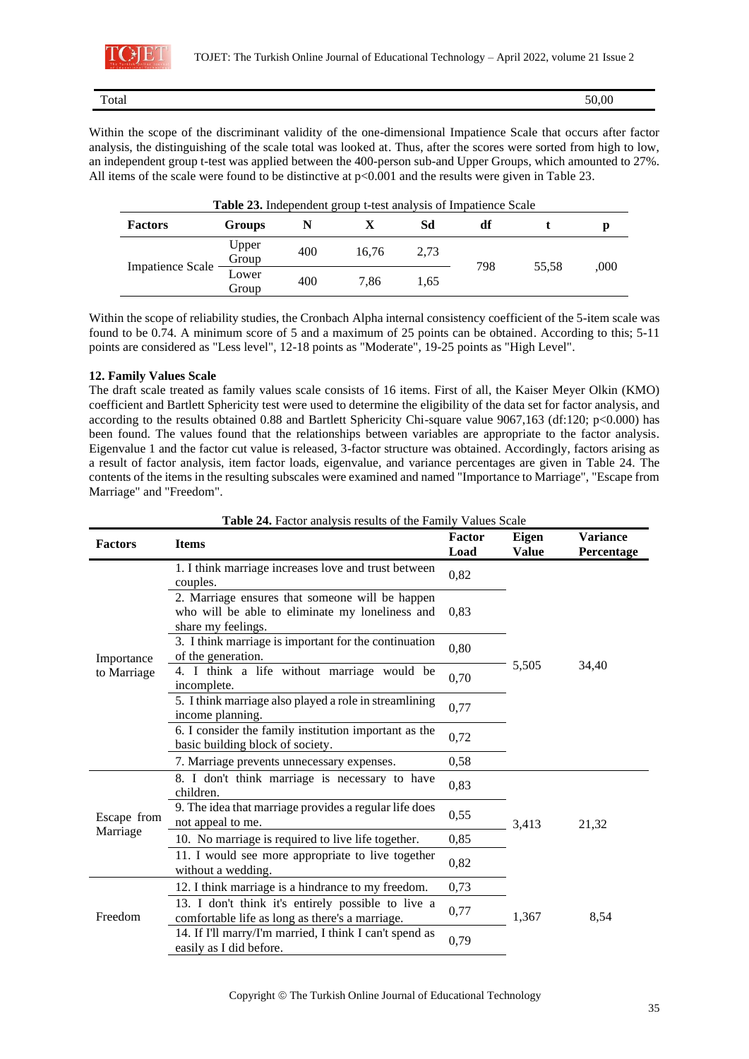

Total 50,000

Within the scope of the discriminant validity of the one-dimensional Impatience Scale that occurs after factor analysis, the distinguishing of the scale total was looked at. Thus, after the scores were sorted from high to low, an independent group t-test was applied between the 400-person sub-and Upper Groups, which amounted to 27%. All items of the scale were found to be distinctive at p<0.001 and the results were given in Table 23.

| <b>Table 23.</b> Independent group t-test analysis of Impatience Scale |                |     |       |      |     |       |      |
|------------------------------------------------------------------------|----------------|-----|-------|------|-----|-------|------|
| <b>Factors</b>                                                         | Groups         | N   |       | Sd   | df  |       | D    |
| <b>Impatience Scale</b>                                                | Upper<br>Group | 400 | 16.76 | 2,73 | 798 | 55.58 | ,000 |
|                                                                        | Lower<br>Group | 400 | 7.86  | 1.65 |     |       |      |

Within the scope of reliability studies, the Cronbach Alpha internal consistency coefficient of the 5-item scale was found to be 0.74. A minimum score of 5 and a maximum of 25 points can be obtained. According to this; 5-11 points are considered as "Less level", 12-18 points as "Moderate", 19-25 points as "High Level".

### **12. Family Values Scale**

The draft scale treated as family values scale consists of 16 items. First of all, the Kaiser Meyer Olkin (KMO) coefficient and Bartlett Sphericity test were used to determine the eligibility of the data set for factor analysis, and according to the results obtained 0.88 and Bartlett Sphericity Chi-square value 9067,163 (df:120; p<0.000) has been found. The values found that the relationships between variables are appropriate to the factor analysis. Eigenvalue 1 and the factor cut value is released, 3-factor structure was obtained. Accordingly, factors arising as a result of factor analysis, item factor loads, eigenvalue, and variance percentages are given in Table 24. The contents of the items in the resulting subscales were examined and named "Importance to Marriage", "Escape from Marriage" and "Freedom".

| <b>Factors</b> | <b>Table 24.</b> Pactor analysis results of the Palliny values Scale<br><b>Items</b>                                     | Factor<br>Load | Eigen<br><b>Value</b> | <b>Variance</b><br>Percentage |  |
|----------------|--------------------------------------------------------------------------------------------------------------------------|----------------|-----------------------|-------------------------------|--|
|                | 1. I think marriage increases love and trust between<br>couples.                                                         | 0,82           |                       |                               |  |
|                | 2. Marriage ensures that someone will be happen<br>who will be able to eliminate my loneliness and<br>share my feelings. | 0.83           |                       |                               |  |
| Importance     | 3. I think marriage is important for the continuation<br>of the generation.                                              | 0,80           |                       |                               |  |
| to Marriage    | 4. I think a life without marriage would be<br>incomplete.                                                               | 0,70           | 5,505                 | 34,40                         |  |
|                | 5. I think marriage also played a role in streamlining<br>income planning.                                               | 0,77           |                       |                               |  |
|                | 6. I consider the family institution important as the<br>basic building block of society.                                | 0,72           |                       |                               |  |
|                | 7. Marriage prevents unnecessary expenses.                                                                               | 0,58           |                       |                               |  |
|                | 8. I don't think marriage is necessary to have<br>children.                                                              | 0,83           |                       |                               |  |
| Escape from    | 9. The idea that marriage provides a regular life does<br>not appeal to me.                                              | 0,55           | 3,413                 | 21,32                         |  |
| Marriage       | 10. No marriage is required to live life together.                                                                       | 0,85           |                       |                               |  |
|                | 11. I would see more appropriate to live together<br>without a wedding.                                                  | 0,82           |                       |                               |  |
|                | 12. I think marriage is a hindrance to my freedom.                                                                       | 0,73           |                       |                               |  |
| Freedom        | 13. I don't think it's entirely possible to live a<br>comfortable life as long as there's a marriage.                    | 0,77           | 1,367                 | 8,54                          |  |
|                | 14. If I'll marry/I'm married, I think I can't spend as<br>easily as I did before.                                       | 0,79           |                       |                               |  |

# **Table 24.** Factor analysis results of the Family Values Scale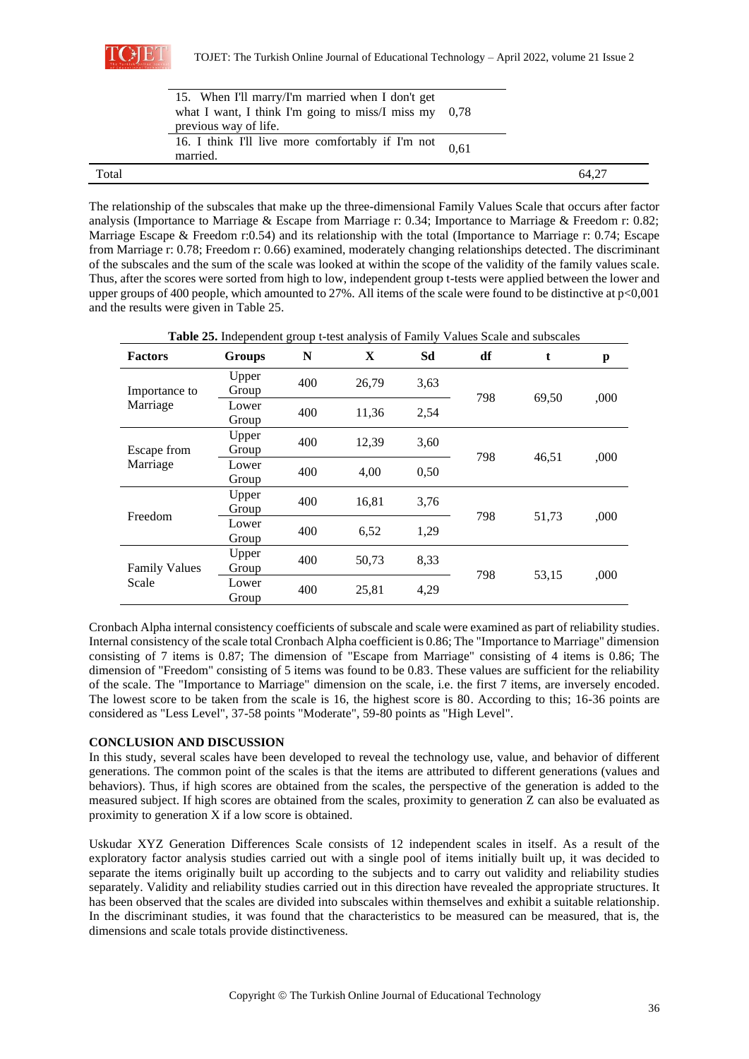

|       | 15. When I'll marry/I'm married when I don't get<br>what I want, I think I'm going to miss/I miss my $0.78$<br>previous way of life. |      |       |
|-------|--------------------------------------------------------------------------------------------------------------------------------------|------|-------|
|       | 16. I think I'll live more comfortably if I'm not<br>married.                                                                        | 0.61 |       |
| Total |                                                                                                                                      |      | 64.27 |

The relationship of the subscales that make up the three-dimensional Family Values Scale that occurs after factor analysis (Importance to Marriage & Escape from Marriage r: 0.34; Importance to Marriage & Freedom r: 0.82; Marriage Escape & Freedom r:0.54) and its relationship with the total (Importance to Marriage r: 0.74; Escape from Marriage r: 0.78; Freedom r: 0.66) examined, moderately changing relationships detected. The discriminant of the subscales and the sum of the scale was looked at within the scope of the validity of the family values scale. Thus, after the scores were sorted from high to low, independent group t-tests were applied between the lower and upper groups of 400 people, which amounted to 27%. All items of the scale were found to be distinctive at p<0,001 and the results were given in Table 25.

| <b>Tuble 201</b> macpendent group $\epsilon$ test analysis of 1 and $\epsilon$ |                |     |       |      |     |       |      |
|--------------------------------------------------------------------------------|----------------|-----|-------|------|-----|-------|------|
| <b>Factors</b>                                                                 | <b>Groups</b>  | N   | X     | Sd   | df  | t.    | p    |
| Importance to<br>Marriage                                                      | Upper<br>Group | 400 | 26,79 | 3,63 | 798 | 69,50 | ,000 |
|                                                                                | Lower<br>Group | 400 | 11,36 | 2,54 |     |       |      |
| Escape from<br>Marriage                                                        | Upper<br>Group | 400 | 12,39 | 3,60 | 798 | 46,51 | ,000 |
|                                                                                | Lower<br>Group | 400 | 4,00  | 0,50 |     |       |      |
| Freedom                                                                        | Upper<br>Group | 400 | 16,81 | 3,76 | 798 |       | ,000 |
|                                                                                | Lower<br>Group | 400 | 6,52  | 1,29 |     | 51,73 |      |
| <b>Family Values</b><br>Scale                                                  | Upper<br>Group | 400 | 50,73 | 8,33 |     |       |      |
|                                                                                | Lower<br>Group | 400 | 25,81 | 4,29 | 798 | 53,15 | ,000 |

**Table 25.** Independent group t-test analysis of Family Values Scale and subscales

Cronbach Alpha internal consistency coefficients of subscale and scale were examined as part of reliability studies. Internal consistency of the scale total Cronbach Alpha coefficient is 0.86; The "Importance to Marriage" dimension consisting of 7 items is 0.87; The dimension of "Escape from Marriage" consisting of 4 items is 0.86; The dimension of "Freedom" consisting of 5 items was found to be 0.83. These values are sufficient for the reliability of the scale. The "Importance to Marriage" dimension on the scale, i.e. the first 7 items, are inversely encoded. The lowest score to be taken from the scale is 16, the highest score is 80. According to this; 16-36 points are considered as "Less Level", 37-58 points "Moderate", 59-80 points as "High Level".

### **CONCLUSION AND DISCUSSION**

In this study, several scales have been developed to reveal the technology use, value, and behavior of different generations. The common point of the scales is that the items are attributed to different generations (values and behaviors). Thus, if high scores are obtained from the scales, the perspective of the generation is added to the measured subject. If high scores are obtained from the scales, proximity to generation Z can also be evaluated as proximity to generation X if a low score is obtained.

Uskudar XYZ Generation Differences Scale consists of 12 independent scales in itself. As a result of the exploratory factor analysis studies carried out with a single pool of items initially built up, it was decided to separate the items originally built up according to the subjects and to carry out validity and reliability studies separately. Validity and reliability studies carried out in this direction have revealed the appropriate structures. It has been observed that the scales are divided into subscales within themselves and exhibit a suitable relationship. In the discriminant studies, it was found that the characteristics to be measured can be measured, that is, the dimensions and scale totals provide distinctiveness.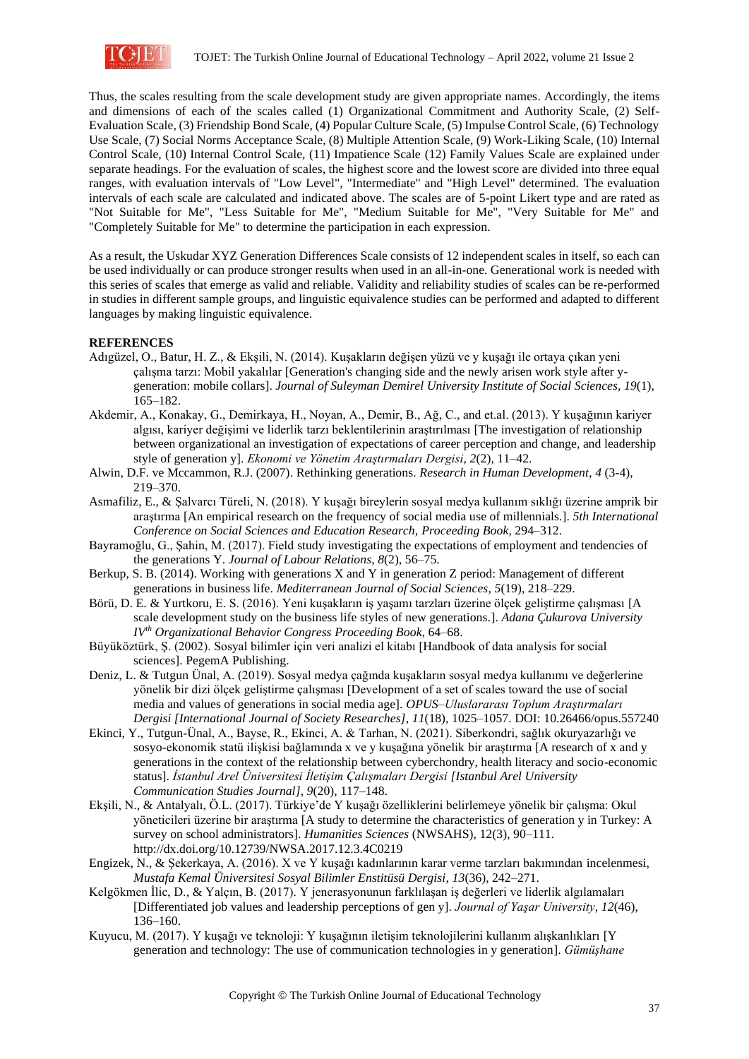

Thus, the scales resulting from the scale development study are given appropriate names. Accordingly, the items and dimensions of each of the scales called (1) Organizational Commitment and Authority Scale, (2) Self-Evaluation Scale, (3) Friendship Bond Scale, (4) Popular Culture Scale, (5) Impulse Control Scale, (6) Technology Use Scale, (7) Social Norms Acceptance Scale, (8) Multiple Attention Scale, (9) Work-Liking Scale, (10) Internal Control Scale, (10) Internal Control Scale, (11) Impatience Scale (12) Family Values Scale are explained under separate headings. For the evaluation of scales, the highest score and the lowest score are divided into three equal ranges, with evaluation intervals of "Low Level", "Intermediate" and "High Level" determined. The evaluation intervals of each scale are calculated and indicated above. The scales are of 5-point Likert type and are rated as "Not Suitable for Me", "Less Suitable for Me", "Medium Suitable for Me", "Very Suitable for Me" and "Completely Suitable for Me" to determine the participation in each expression.

As a result, the Uskudar XYZ Generation Differences Scale consists of 12 independent scales in itself, so each can be used individually or can produce stronger results when used in an all-in-one. Generational work is needed with this series of scales that emerge as valid and reliable. Validity and reliability studies of scales can be re-performed in studies in different sample groups, and linguistic equivalence studies can be performed and adapted to different languages by making linguistic equivalence.

# **REFERENCES**

- Adıgüzel, O., Batur, H. Z., & Ekşili, N. (2014). Kuşakların değişen yüzü ve y kuşağı ile ortaya çıkan yeni çalışma tarzı: Mobil yakalılar [Generation's changing side and the newly arisen work style after ygeneration: mobile collars]. *Journal of Suleyman Demirel University Institute of Social Sciences, 19*(1), 165–182.
- Akdemir, A., Konakay, G., Demirkaya, H., Noyan, A., Demir, B., Ağ, C., and et.al. (2013). Y kuşağının kariyer algısı, kariyer değişimi ve liderlik tarzı beklentilerinin araştırılması [The investigation of relationship between organizational an investigation of expectations of career perception and change, and leadership style of generation y]. *Ekonomi ve Yönetim Araştırmaları Dergisi*, *2*(2), 11–42.
- Alwin, D.F. ve Mccammon, R.J. (2007). Rethinking generations. *Research in Human Development*, *4* (3-4), 219–370.
- Asmafiliz, E., & Şalvarcı Türeli, N. (2018). Y kuşağı bireylerin sosyal medya kullanım sıklığı üzerine amprik bir araştırma [An empirical research on the frequency of social media use of millennials.]. *5th International Conference on Social Sciences and Education Research, Proceeding Book,* 294–312.
- Bayramoğlu, G., Şahin, M. (2017). Field study investigating the expectations of employment and tendencies of the generations Y. *Journal of Labour Relations*, *8*(2), 56–75.
- Berkup, S. B. (2014). Working with generations X and Y in generation Z period: Management of different generations in business life. *Mediterranean Journal of Social Sciences*, *5*(19), 218–229.
- Börü, D. E. & Yurtkoru, E. S. (2016). Yeni kuşakların iş yaşamı tarzları üzerine ölçek geliştirme çalışması [A scale development study on the business life styles of new generations.]. *Adana Çukurova University IVth Organizational Behavior Congress Proceeding Book*, 64–68.
- Büyüköztürk, Ş. (2002). Sosyal bilimler için veri analizi el kitabı [Handbook of data analysis for social sciences]. PegemA Publishing.
- Deniz, L. & Tutgun Ünal, A. (2019). Sosyal medya çağında kuşakların sosyal medya kullanımı ve değerlerine yönelik bir dizi ölçek geliştirme çalışması [Development of a set of scales toward the use of social media and values of generations in social media age]. *OPUS–Uluslararası Toplum Araştırmaları Dergisi [International Journal of Society Researches]*, *11*(18), 1025–1057. DOI: 10.26466/opus.557240
- Ekinci, Y., Tutgun-Ünal, A., Bayse, R., Ekinci, A. & Tarhan, N. (2021). Siberkondri, sağlık okuryazarlığı ve sosyo-ekonomik statü ilişkisi bağlamında x ve y kuşağına yönelik bir araştırma [A research of x and y generations in the context of the relationship between cyberchondry, health literacy and socio-economic status]. *İstanbul Arel Üniversitesi İletişim Çalışmaları Dergisi [Istanbul Arel University Communication Studies Journal]*, *9*(20), 117–148.
- Ekşili, N., & Antalyalı, Ö.L. (2017). Türkiye'de Y kuşağı özelliklerini belirlemeye yönelik bir çalışma: Okul yöneticileri üzerine bir araştırma [A study to determine the characteristics of generation y in Turkey: A survey on school administrators]. *Humanities Sciences* (NWSAHS), 12(3), 90–111. http://dx.doi.org/10.12739/NWSA.2017.12.3.4C0219
- Engizek, N., & Şekerkaya, A. (2016). X ve Y kuşağı kadınlarının karar verme tarzları bakımından incelenmesi, *Mustafa Kemal Üniversitesi Sosyal Bilimler Enstitüsü Dergisi*, *13*(36), 242–271.
- Kelgökmen İlic, D., & Yalçın, B. (2017). Y jenerasyonunun farklılaşan iş değerleri ve liderlik algılamaları [Differentiated job values and leadership perceptions of gen y]. *Journal of Yaşar University*, *12*(46), 136–160.
- Kuyucu, M. (2017). Y kuşağı ve teknoloji: Y kuşağının iletişim teknolojilerini kullanım alışkanlıkları [Y generation and technology: The use of communication technologies in y generation]. *Gümüşhane*